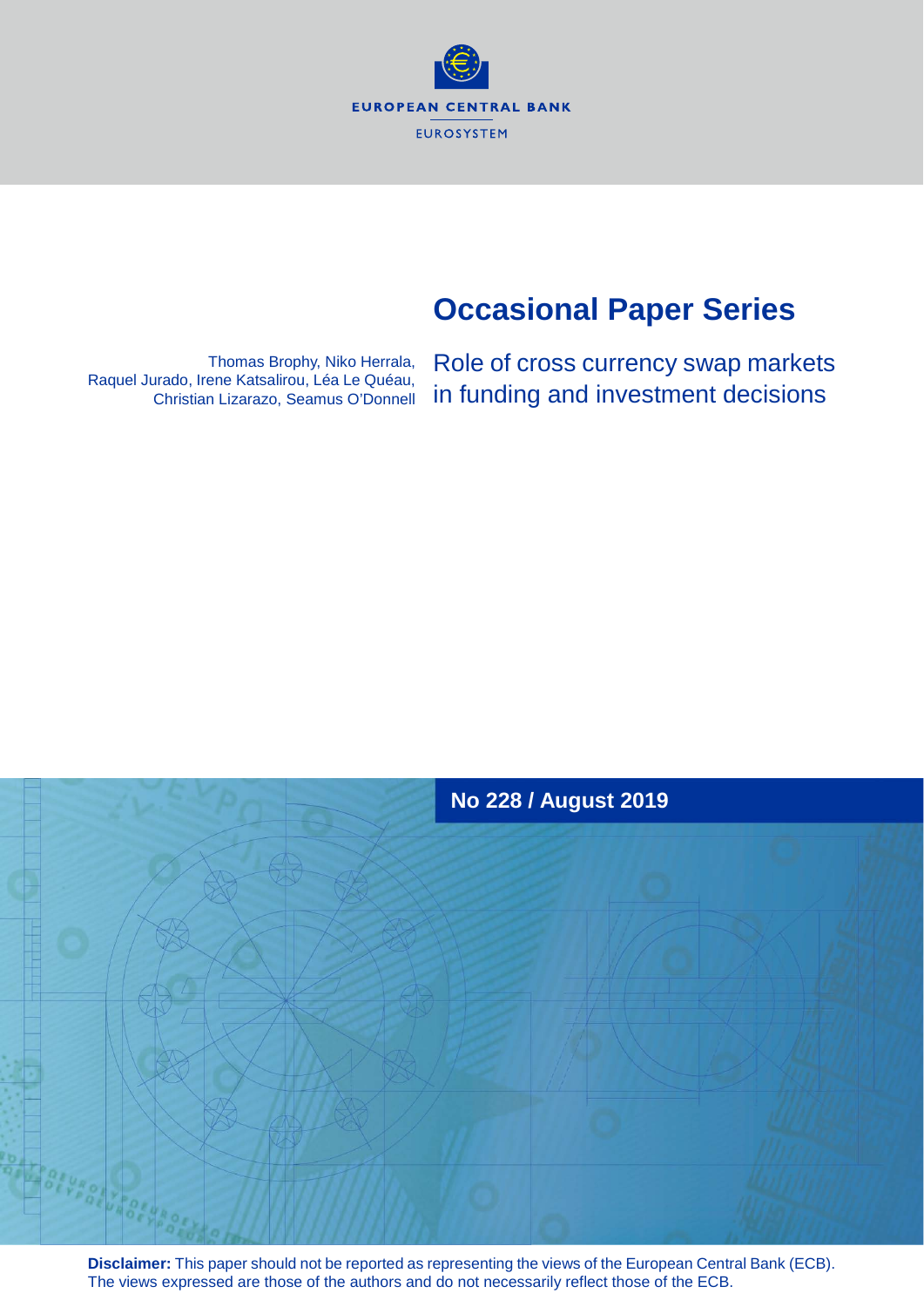**EUROPEAN CENTRAL BANK EUROSYSTEM** 

# **Occasional Paper Series**

Thomas Brophy, Niko Herrala, Raquel Jurado, Irene Katsalirou, Léa Le Quéau, Christian Lizarazo, Seamus O'Donnell

Role of cross currency swap markets in funding and investment decisions



**Disclaimer:** This paper should not be reported as representing the views of the European Central Bank (ECB). The views expressed are those of the authors and do not necessarily reflect those of the ECB.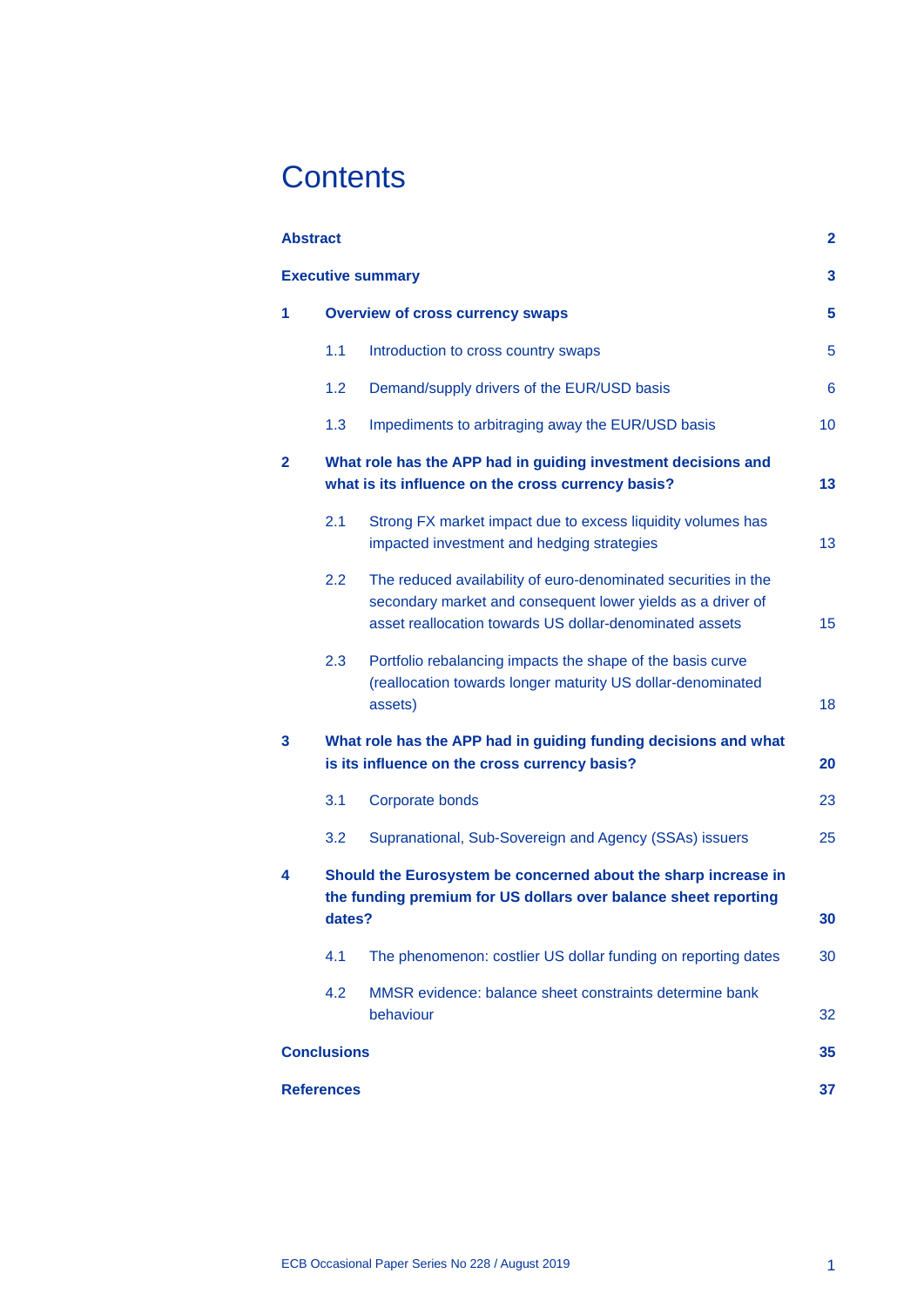# **Contents**

| <b>Abstract</b>          |                                                                                                                                             |                                                                                                                                                                                          | $\mathbf{2}$ |  |  |  |  |
|--------------------------|---------------------------------------------------------------------------------------------------------------------------------------------|------------------------------------------------------------------------------------------------------------------------------------------------------------------------------------------|--------------|--|--|--|--|
| <b>Executive summary</b> |                                                                                                                                             |                                                                                                                                                                                          |              |  |  |  |  |
| 1                        | <b>Overview of cross currency swaps</b>                                                                                                     |                                                                                                                                                                                          |              |  |  |  |  |
|                          | 1.1                                                                                                                                         | Introduction to cross country swaps                                                                                                                                                      | 5            |  |  |  |  |
|                          | 1.2                                                                                                                                         | Demand/supply drivers of the EUR/USD basis                                                                                                                                               | 6            |  |  |  |  |
|                          | 1.3                                                                                                                                         | Impediments to arbitraging away the EUR/USD basis                                                                                                                                        | 10           |  |  |  |  |
| $\mathbf{2}$             | What role has the APP had in guiding investment decisions and<br>what is its influence on the cross currency basis?                         |                                                                                                                                                                                          |              |  |  |  |  |
|                          | 2.1                                                                                                                                         | Strong FX market impact due to excess liquidity volumes has<br>impacted investment and hedging strategies                                                                                | 13           |  |  |  |  |
|                          | 2.2                                                                                                                                         | The reduced availability of euro-denominated securities in the<br>secondary market and consequent lower yields as a driver of<br>asset reallocation towards US dollar-denominated assets | 15           |  |  |  |  |
|                          | 2.3                                                                                                                                         | Portfolio rebalancing impacts the shape of the basis curve<br>(reallocation towards longer maturity US dollar-denominated<br>assets)                                                     | 18           |  |  |  |  |
| 3                        | What role has the APP had in guiding funding decisions and what<br>is its influence on the cross currency basis?                            |                                                                                                                                                                                          |              |  |  |  |  |
|                          | 3.1                                                                                                                                         | Corporate bonds                                                                                                                                                                          | 23           |  |  |  |  |
|                          | 3.2                                                                                                                                         | Supranational, Sub-Sovereign and Agency (SSAs) issuers                                                                                                                                   | 25           |  |  |  |  |
| 4                        | Should the Eurosystem be concerned about the sharp increase in<br>the funding premium for US dollars over balance sheet reporting<br>dates? |                                                                                                                                                                                          |              |  |  |  |  |
|                          | 4.1                                                                                                                                         | The phenomenon: costlier US dollar funding on reporting dates                                                                                                                            | 30           |  |  |  |  |
|                          | 4.2                                                                                                                                         | MMSR evidence: balance sheet constraints determine bank<br>behaviour                                                                                                                     | 32           |  |  |  |  |
|                          | <b>Conclusions</b>                                                                                                                          |                                                                                                                                                                                          |              |  |  |  |  |
| <b>References</b>        |                                                                                                                                             |                                                                                                                                                                                          |              |  |  |  |  |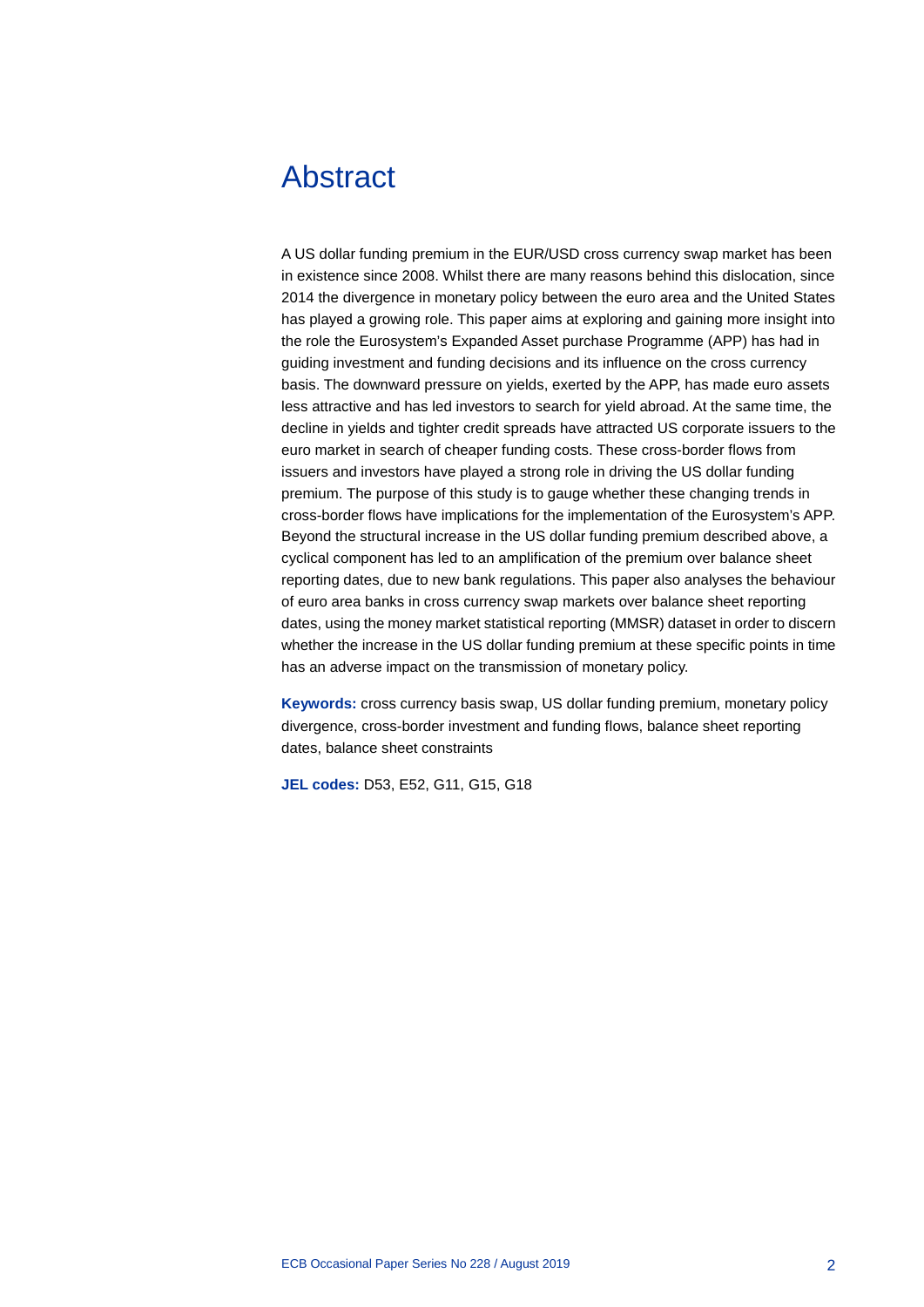# <span id="page-2-0"></span>Abstract

A US dollar funding premium in the EUR/USD cross currency swap market has been in existence since 2008. Whilst there are many reasons behind this dislocation, since 2014 the divergence in monetary policy between the euro area and the United States has played a growing role. This paper aims at exploring and gaining more insight into the role the Eurosystem's Expanded Asset purchase Programme (APP) has had in guiding investment and funding decisions and its influence on the cross currency basis. The downward pressure on yields, exerted by the APP, has made euro assets less attractive and has led investors to search for yield abroad. At the same time, the decline in yields and tighter credit spreads have attracted US corporate issuers to the euro market in search of cheaper funding costs. These cross-border flows from issuers and investors have played a strong role in driving the US dollar funding premium. The purpose of this study is to gauge whether these changing trends in cross-border flows have implications for the implementation of the Eurosystem's APP. Beyond the structural increase in the US dollar funding premium described above, a cyclical component has led to an amplification of the premium over balance sheet reporting dates, due to new bank regulations. This paper also analyses the behaviour of euro area banks in cross currency swap markets over balance sheet reporting dates, using the money market statistical reporting (MMSR) dataset in order to discern whether the increase in the US dollar funding premium at these specific points in time has an adverse impact on the transmission of monetary policy.

**Keywords:** cross currency basis swap, US dollar funding premium, monetary policy divergence, cross-border investment and funding flows, balance sheet reporting dates, balance sheet constraints

**JEL codes:** D53, E52, G11, G15, G18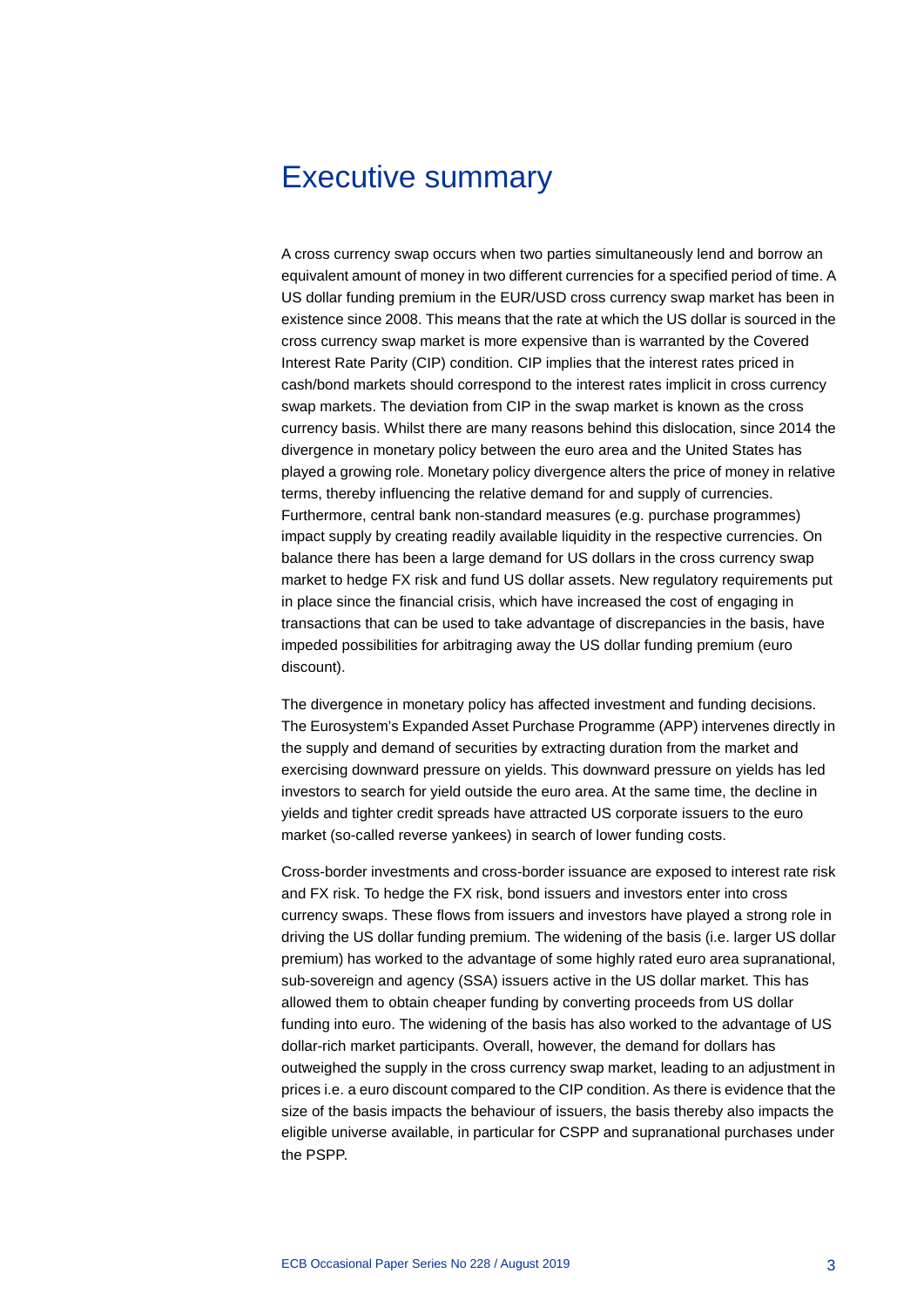# <span id="page-3-0"></span>Executive summary

A cross currency swap occurs when two parties simultaneously lend and borrow an equivalent amount of money in two different currencies for a specified period of time. A US dollar funding premium in the EUR/USD cross currency swap market has been in existence since 2008. This means that the rate at which the US dollar is sourced in the cross currency swap market is more expensive than is warranted by the Covered Interest Rate Parity (CIP) condition. CIP implies that the interest rates priced in cash/bond markets should correspond to the interest rates implicit in cross currency swap markets. The deviation from CIP in the swap market is known as the cross currency basis. Whilst there are many reasons behind this dislocation, since 2014 the divergence in monetary policy between the euro area and the United States has played a growing role. Monetary policy divergence alters the price of money in relative terms, thereby influencing the relative demand for and supply of currencies. Furthermore, central bank non-standard measures (e.g. purchase programmes) impact supply by creating readily available liquidity in the respective currencies. On balance there has been a large demand for US dollars in the cross currency swap market to hedge FX risk and fund US dollar assets. New regulatory requirements put in place since the financial crisis, which have increased the cost of engaging in transactions that can be used to take advantage of discrepancies in the basis, have impeded possibilities for arbitraging away the US dollar funding premium (euro discount).

The divergence in monetary policy has affected investment and funding decisions. The Eurosystem's Expanded Asset Purchase Programme (APP) intervenes directly in the supply and demand of securities by extracting duration from the market and exercising downward pressure on yields. This downward pressure on yields has led investors to search for yield outside the euro area. At the same time, the decline in yields and tighter credit spreads have attracted US corporate issuers to the euro market (so-called reverse yankees) in search of lower funding costs.

Cross-border investments and cross-border issuance are exposed to interest rate risk and FX risk. To hedge the FX risk, bond issuers and investors enter into cross currency swaps. These flows from issuers and investors have played a strong role in driving the US dollar funding premium. The widening of the basis (i.e. larger US dollar premium) has worked to the advantage of some highly rated euro area supranational, sub-sovereign and agency (SSA) issuers active in the US dollar market. This has allowed them to obtain cheaper funding by converting proceeds from US dollar funding into euro. The widening of the basis has also worked to the advantage of US dollar-rich market participants. Overall, however, the demand for dollars has outweighed the supply in the cross currency swap market, leading to an adjustment in prices i.e. a euro discount compared to the CIP condition. As there is evidence that the size of the basis impacts the behaviour of issuers, the basis thereby also impacts the eligible universe available, in particular for CSPP and supranational purchases under the PSPP.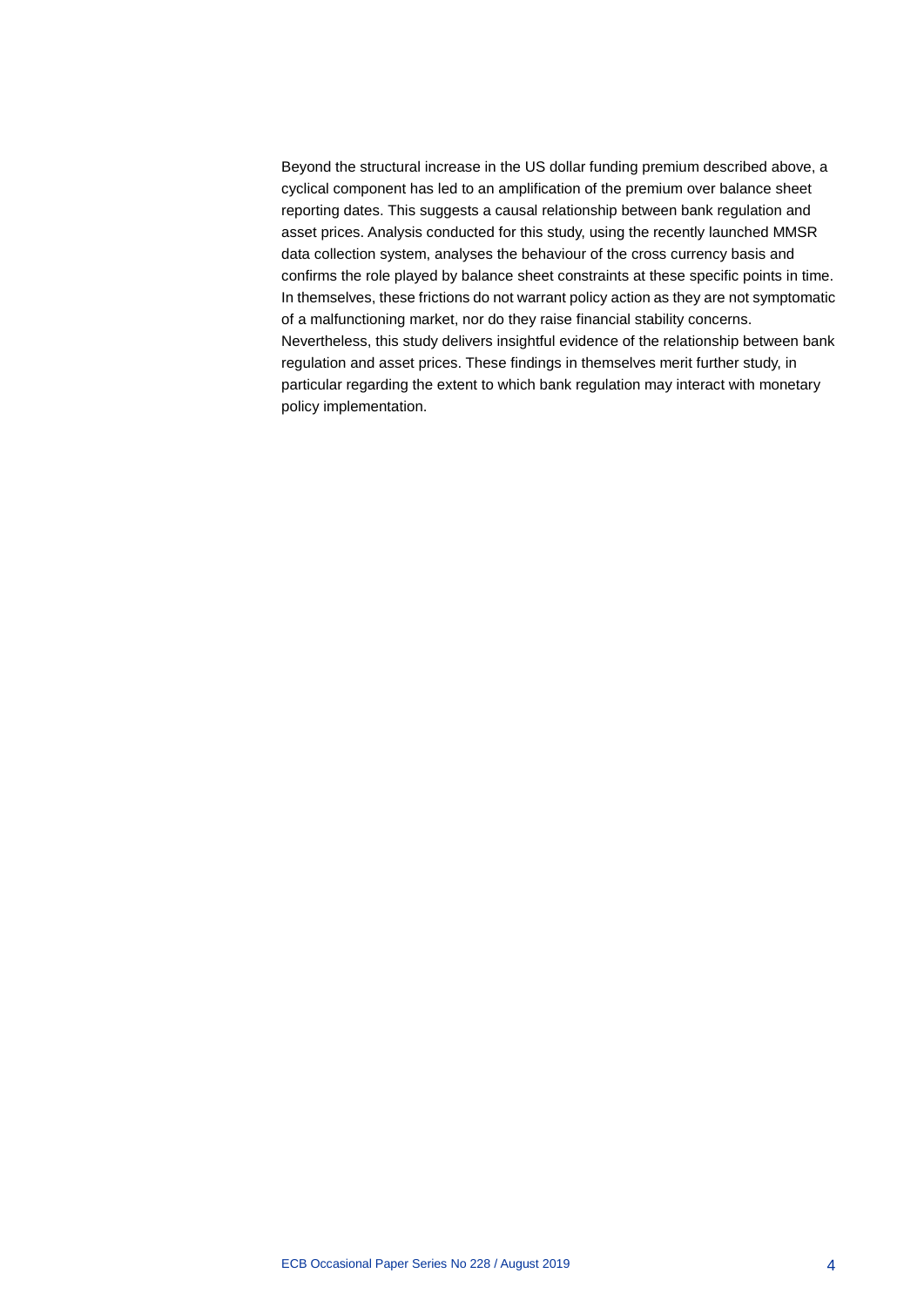Beyond the structural increase in the US dollar funding premium described above, a cyclical component has led to an amplification of the premium over balance sheet reporting dates. This suggests a causal relationship between bank regulation and asset prices. Analysis conducted for this study, using the recently launched MMSR data collection system, analyses the behaviour of the cross currency basis and confirms the role played by balance sheet constraints at these specific points in time. In themselves, these frictions do not warrant policy action as they are not symptomatic of a malfunctioning market, nor do they raise financial stability concerns. Nevertheless, this study delivers insightful evidence of the relationship between bank regulation and asset prices. These findings in themselves merit further study, in particular regarding the extent to which bank regulation may interact with monetary policy implementation.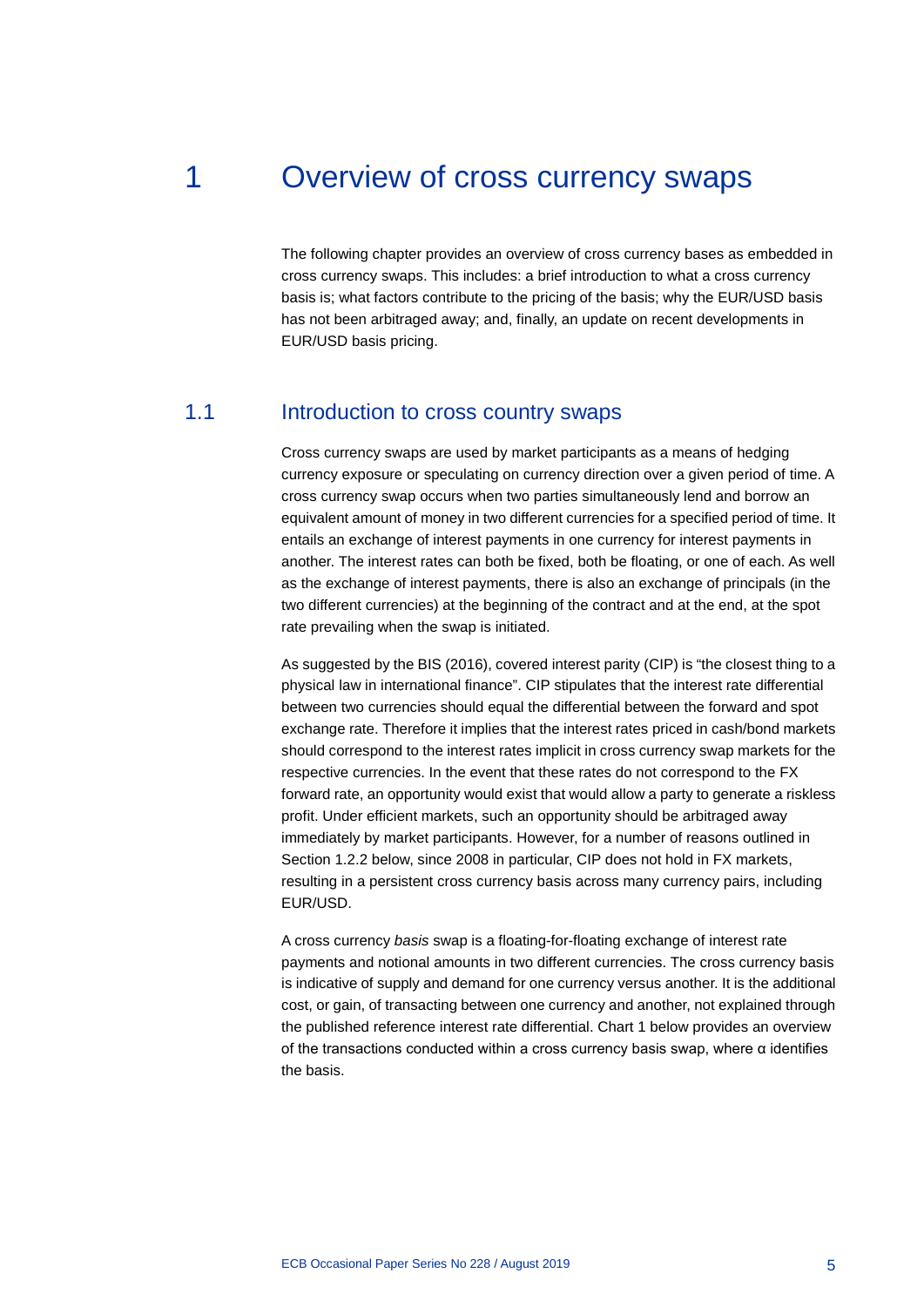# 1 Overview of cross currency swaps

<span id="page-5-0"></span>The following chapter provides an overview of cross currency bases as embedded in cross currency swaps. This includes: a brief introduction to what a cross currency basis is; what factors contribute to the pricing of the basis; why the EUR/USD basis has not been arbitraged away; and, finally, an update on recent developments in EUR/USD basis pricing.

### 1.1 Introduction to cross country swaps

<span id="page-5-1"></span>Cross currency swaps are used by market participants as a means of hedging currency exposure or speculating on currency direction over a given period of time. A cross currency swap occurs when two parties simultaneously lend and borrow an equivalent amount of money in two different currencies for a specified period of time. It entails an exchange of interest payments in one currency for interest payments in another. The interest rates can both be fixed, both be floating, or one of each. As well as the exchange of interest payments, there is also an exchange of principals (in the two different currencies) at the beginning of the contract and at the end, at the spot rate prevailing when the swap is initiated.

As suggested by the BIS (2016), covered interest parity (CIP) is "the closest thing to a physical law in international finance". CIP stipulates that the interest rate differential between two currencies should equal the differential between the forward and spot exchange rate. Therefore it implies that the interest rates priced in cash/bond markets should correspond to the interest rates implicit in cross currency swap markets for the respective currencies. In the event that these rates do not correspond to the FX forward rate, an opportunity would exist that would allow a party to generate a riskless profit. Under efficient markets, such an opportunity should be arbitraged away immediately by market participants. However, for a number of reasons outlined in Section 1.2.2 below, since 2008 in particular, CIP does not hold in FX markets, resulting in a persistent cross currency basis across many currency pairs, including EUR/USD.

A cross currency *basis* swap is a floating-for-floating exchange of interest rate payments and notional amounts in two different currencies. The cross currency basis is indicative of supply and demand for one currency versus another. It is the additional cost, or gain, of transacting between one currency and another, not explained through the published reference interest rate differential. Chart 1 below provides an overview of the transactions conducted within a cross currency basis swap, where α identifies the basis.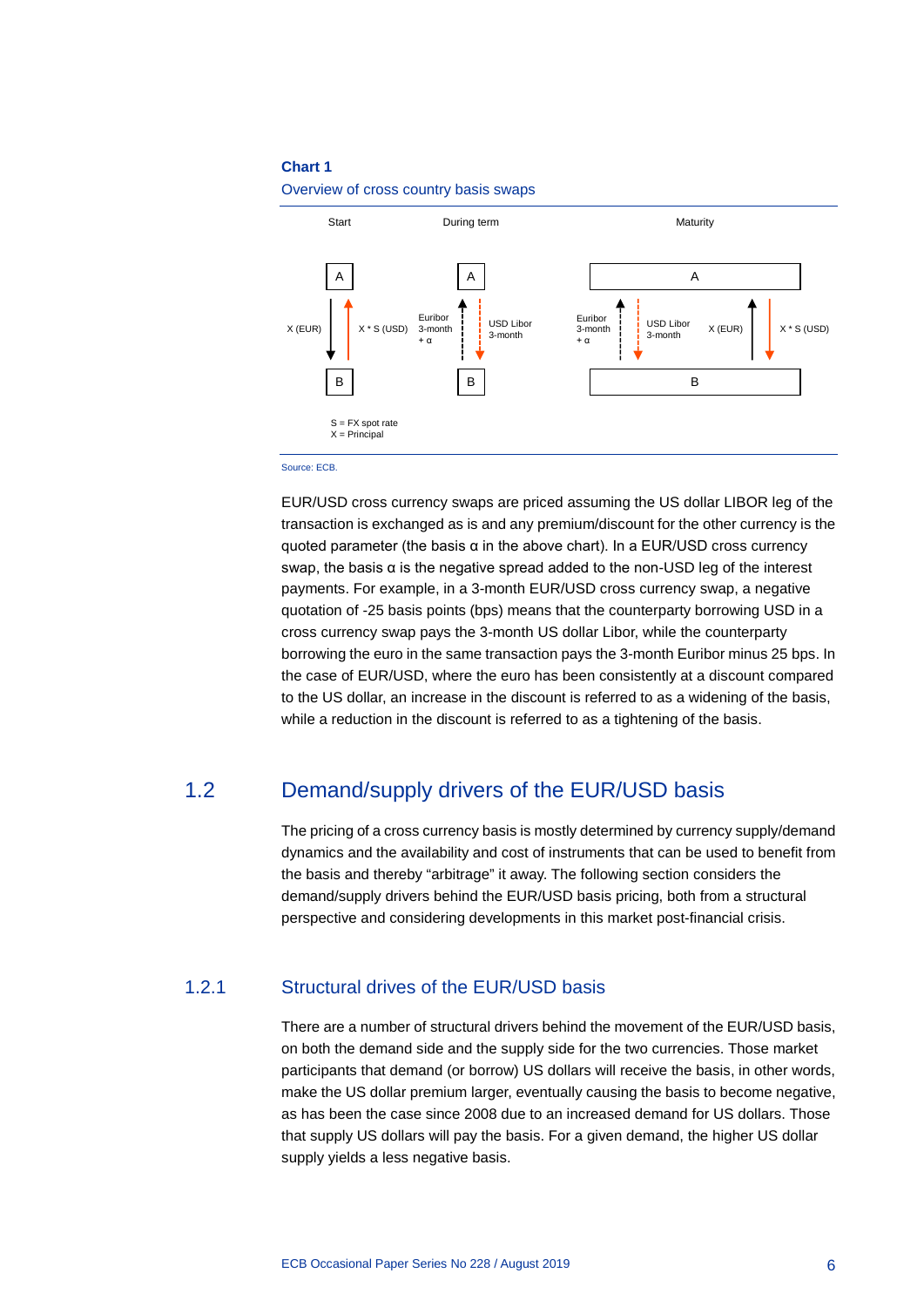

Overview of cross country basis swaps

#### Source: ECB.

EUR/USD cross currency swaps are priced assuming the US dollar LIBOR leg of the transaction is exchanged as is and any premium/discount for the other currency is the quoted parameter (the basis  $\alpha$  in the above chart). In a EUR/USD cross currency swap, the basis α is the negative spread added to the non-USD leg of the interest payments. For example, in a 3-month EUR/USD cross currency swap, a negative quotation of -25 basis points (bps) means that the counterparty borrowing USD in a cross currency swap pays the 3-month US dollar Libor, while the counterparty borrowing the euro in the same transaction pays the 3-month Euribor minus 25 bps. In the case of EUR/USD, where the euro has been consistently at a discount compared to the US dollar, an increase in the discount is referred to as a widening of the basis, while a reduction in the discount is referred to as a tightening of the basis.

### 1.2 Demand/supply drivers of the EUR/USD basis

<span id="page-6-0"></span>The pricing of a cross currency basis is mostly determined by currency supply/demand dynamics and the availability and cost of instruments that can be used to benefit from the basis and thereby "arbitrage" it away. The following section considers the demand/supply drivers behind the EUR/USD basis pricing, both from a structural perspective and considering developments in this market post-financial crisis.

### 1.2.1 Structural drives of the EUR/USD basis

There are a number of structural drivers behind the movement of the EUR/USD basis, on both the demand side and the supply side for the two currencies. Those market participants that demand (or borrow) US dollars will receive the basis, in other words, make the US dollar premium larger, eventually causing the basis to become negative, as has been the case since 2008 due to an increased demand for US dollars. Those that supply US dollars will pay the basis. For a given demand, the higher US dollar supply yields a less negative basis.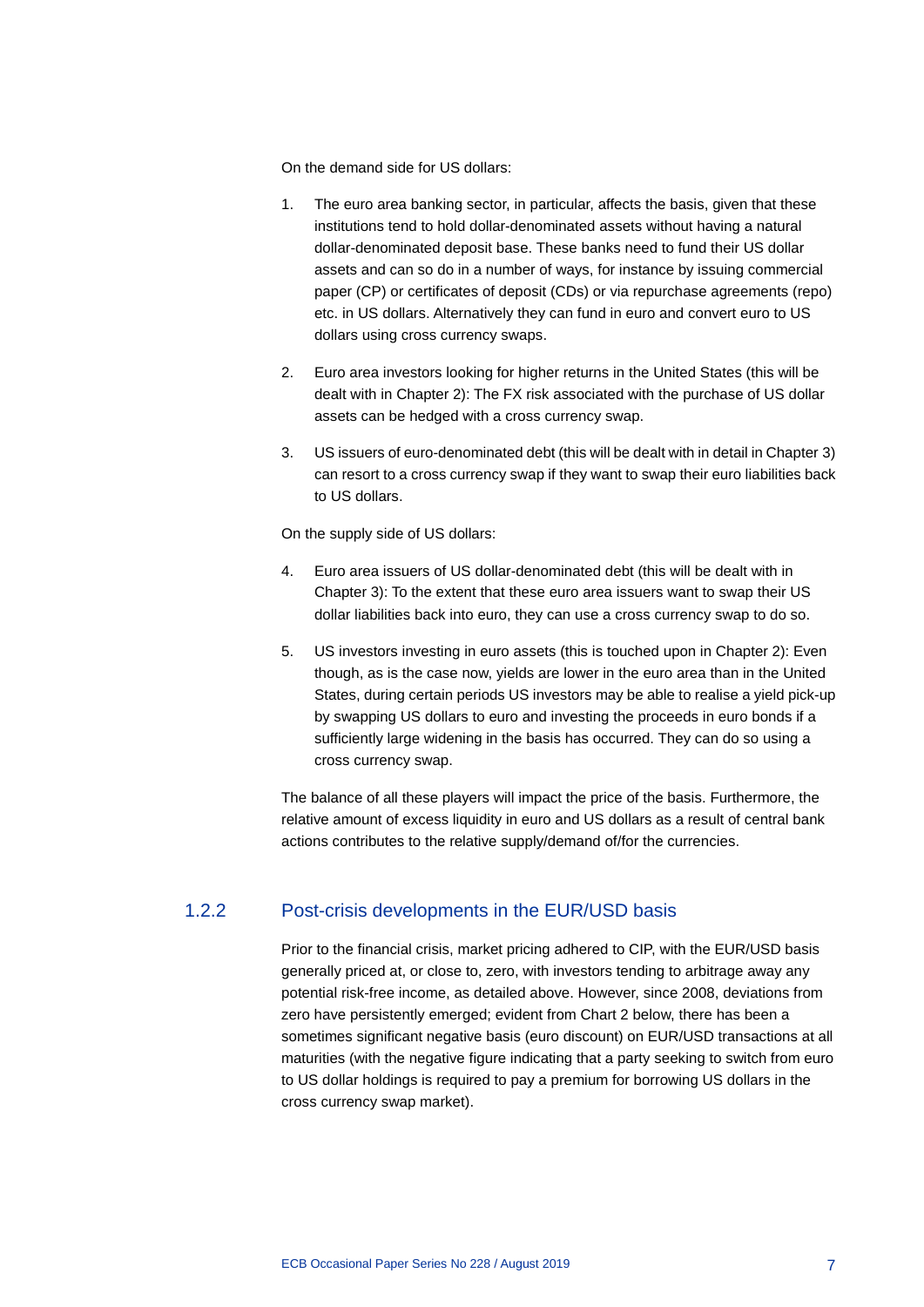On the demand side for US dollars:

- 1. The euro area banking sector, in particular, affects the basis, given that these institutions tend to hold dollar-denominated assets without having a natural dollar-denominated deposit base. These banks need to fund their US dollar assets and can so do in a number of ways, for instance by issuing commercial paper (CP) or certificates of deposit (CDs) or via repurchase agreements (repo) etc. in US dollars. Alternatively they can fund in euro and convert euro to US dollars using cross currency swaps.
- 2. Euro area investors looking for higher returns in the United States (this will be dealt with in Chapter 2): The FX risk associated with the purchase of US dollar assets can be hedged with a cross currency swap.
- 3. US issuers of euro-denominated debt (this will be dealt with in detail in Chapter 3) can resort to a cross currency swap if they want to swap their euro liabilities back to US dollars.

On the supply side of US dollars:

- 4. Euro area issuers of US dollar-denominated debt (this will be dealt with in Chapter 3): To the extent that these euro area issuers want to swap their US dollar liabilities back into euro, they can use a cross currency swap to do so.
- 5. US investors investing in euro assets (this is touched upon in Chapter 2): Even though, as is the case now, yields are lower in the euro area than in the United States, during certain periods US investors may be able to realise a yield pick-up by swapping US dollars to euro and investing the proceeds in euro bonds if a sufficiently large widening in the basis has occurred. They can do so using a cross currency swap.

The balance of all these players will impact the price of the basis. Furthermore, the relative amount of excess liquidity in euro and US dollars as a result of central bank actions contributes to the relative supply/demand of/for the currencies.

### 1.2.2 Post-crisis developments in the EUR/USD basis

Prior to the financial crisis, market pricing adhered to CIP, with the EUR/USD basis generally priced at, or close to, zero, with investors tending to arbitrage away any potential risk-free income, as detailed above. However, since 2008, deviations from zero have persistently emerged; evident from Chart 2 below, there has been a sometimes significant negative basis (euro discount) on EUR/USD transactions at all maturities (with the negative figure indicating that a party seeking to switch from euro to US dollar holdings is required to pay a premium for borrowing US dollars in the cross currency swap market).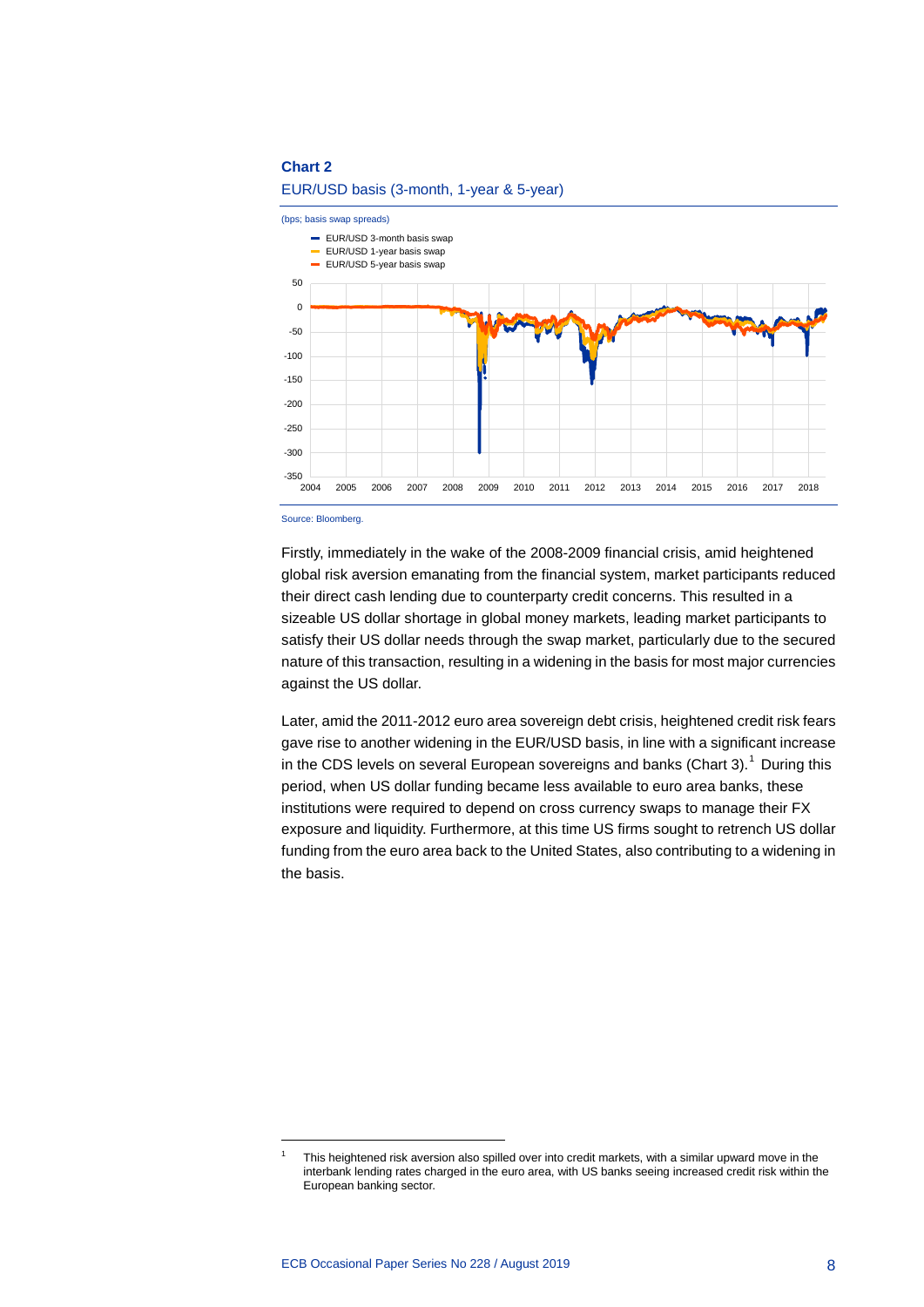EUR/USD basis (3-month, 1-year & 5-year)



Source: Bloomberg.

-

Firstly, immediately in the wake of the 2008-2009 financial crisis, amid heightened global risk aversion emanating from the financial system, market participants reduced their direct cash lending due to counterparty credit concerns. This resulted in a sizeable US dollar shortage in global money markets, leading market participants to satisfy their US dollar needs through the swap market, particularly due to the secured nature of this transaction, resulting in a widening in the basis for most major currencies against the US dollar.

Later, amid the 2011-2012 euro area sovereign debt crisis, heightened credit risk fears gave rise to another widening in the EUR/USD basis, in line with a significant increase in the CDS levels on several European sovereigns and banks (Chart 3).<sup>[1](#page-8-0)</sup> During this period, when US dollar funding became less available to euro area banks, these institutions were required to depend on cross currency swaps to manage their FX exposure and liquidity. Furthermore, at this time US firms sought to retrench US dollar funding from the euro area back to the United States, also contributing to a widening in the basis.

<span id="page-8-0"></span>This heightened risk aversion also spilled over into credit markets, with a similar upward move in the interbank lending rates charged in the euro area, with US banks seeing increased credit risk within the European banking sector.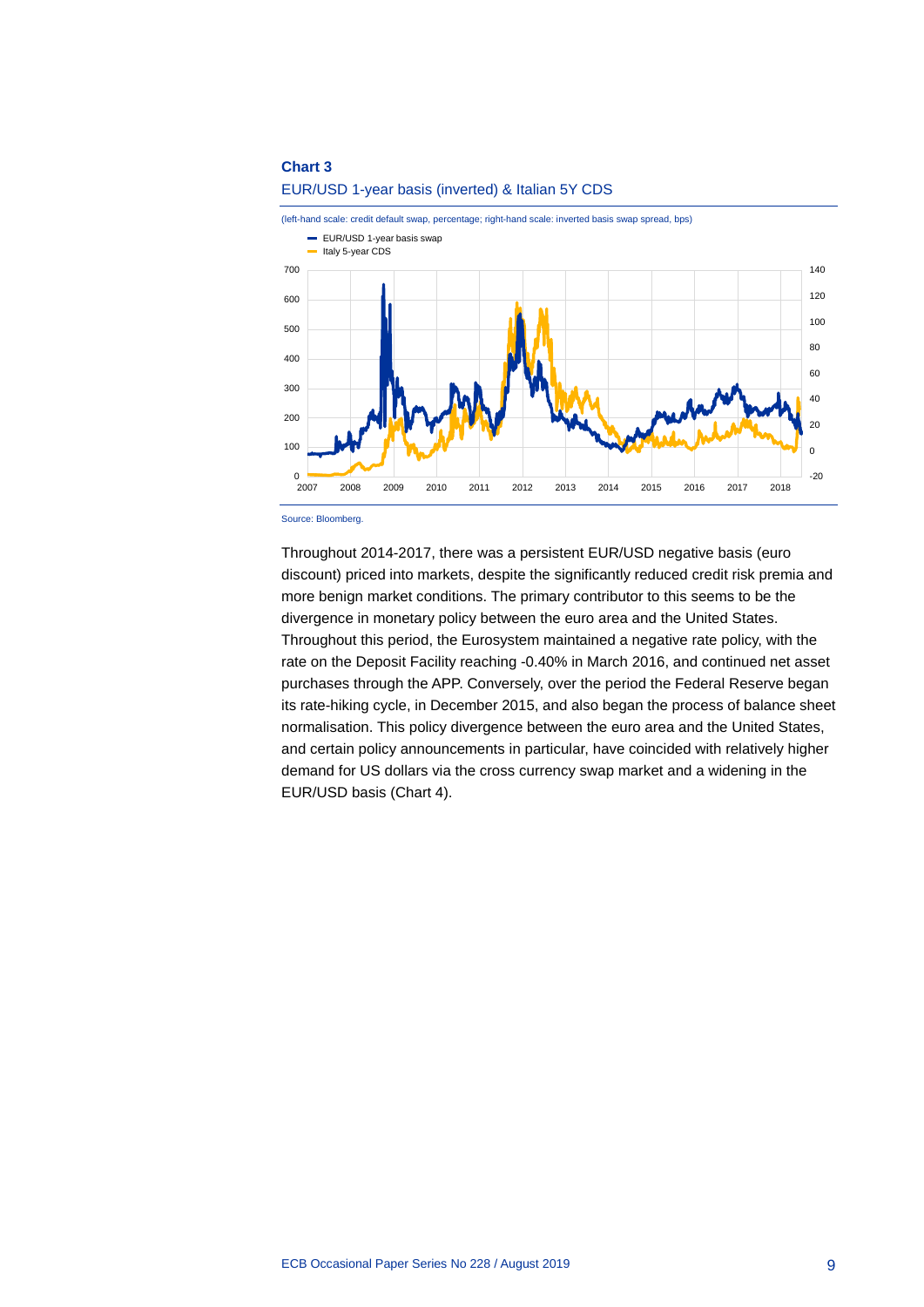

#### EUR/USD 1-year basis (inverted) & Italian 5Y CDS

Source: Bloomberg.

Throughout 2014-2017, there was a persistent EUR/USD negative basis (euro discount) priced into markets, despite the significantly reduced credit risk premia and more benign market conditions. The primary contributor to this seems to be the divergence in monetary policy between the euro area and the United States. Throughout this period, the Eurosystem maintained a negative rate policy, with the rate on the Deposit Facility reaching -0.40% in March 2016, and continued net asset purchases through the APP. Conversely, over the period the Federal Reserve began its rate-hiking cycle, in December 2015, and also began the process of balance sheet normalisation. This policy divergence between the euro area and the United States, and certain policy announcements in particular, have coincided with relatively higher demand for US dollars via the cross currency swap market and a widening in the EUR/USD basis (Chart 4).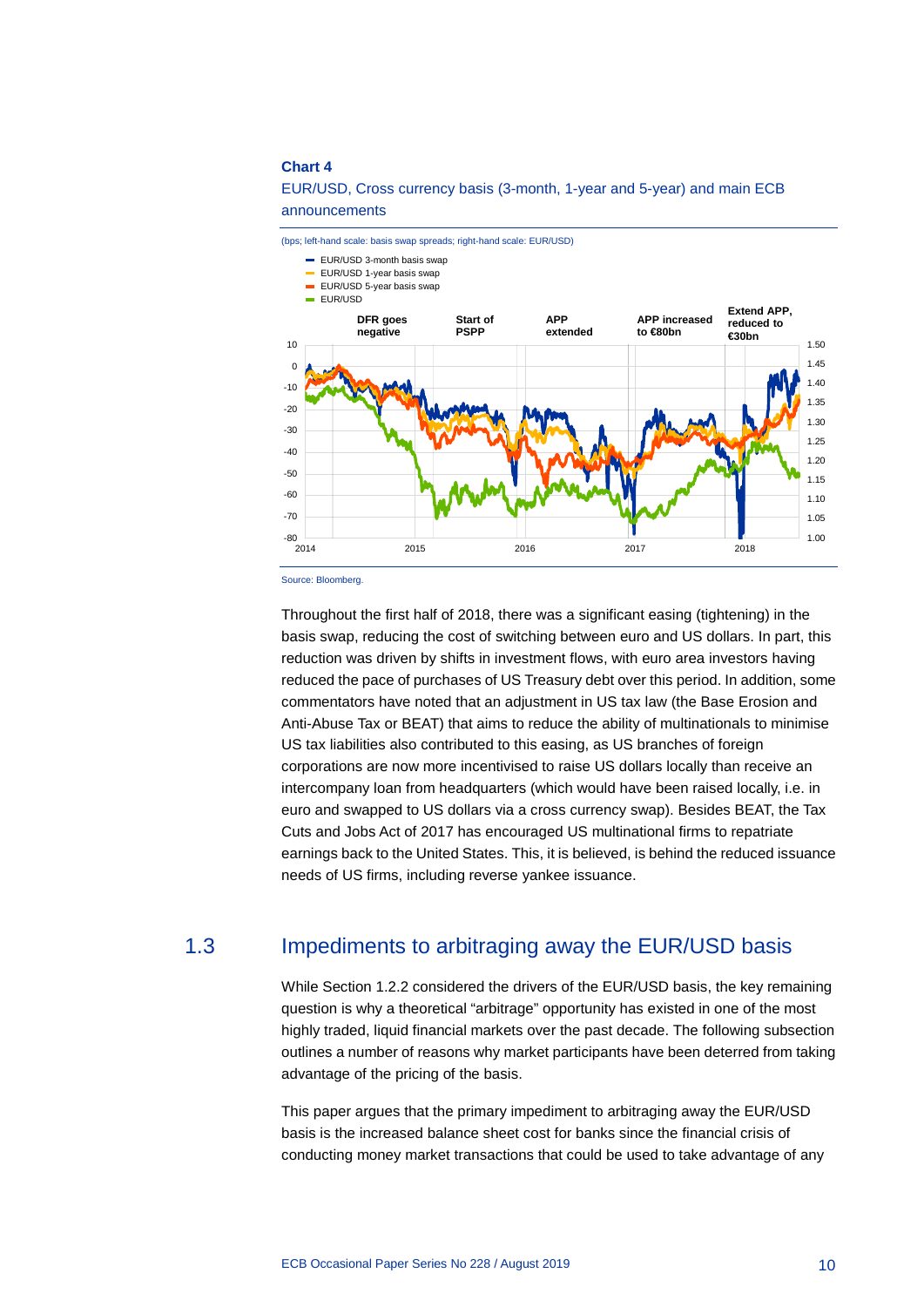

#### EUR/USD, Cross currency basis (3-month, 1-year and 5-year) and main ECB announcements

Source: Bloomberg.

Throughout the first half of 2018, there was a significant easing (tightening) in the basis swap, reducing the cost of switching between euro and US dollars. In part, this reduction was driven by shifts in investment flows, with euro area investors having reduced the pace of purchases of US Treasury debt over this period. In addition, some commentators have noted that an adjustment in US tax law (the Base Erosion and Anti-Abuse Tax or BEAT) that aims to reduce the ability of multinationals to minimise US tax liabilities also contributed to this easing, as US branches of foreign corporations are now more incentivised to raise US dollars locally than receive an intercompany loan from headquarters (which would have been raised locally, i.e. in euro and swapped to US dollars via a cross currency swap). Besides BEAT, the Tax Cuts and Jobs Act of 2017 has encouraged US multinational firms to repatriate earnings back to the United States. This, it is believed, is behind the reduced issuance needs of US firms, including reverse yankee issuance.

## 1.3 Impediments to arbitraging away the EUR/USD basis

<span id="page-10-0"></span>While Section 1.2.2 considered the drivers of the EUR/USD basis, the key remaining question is why a theoretical "arbitrage" opportunity has existed in one of the most highly traded, liquid financial markets over the past decade. The following subsection outlines a number of reasons why market participants have been deterred from taking advantage of the pricing of the basis.

This paper argues that the primary impediment to arbitraging away the EUR/USD basis is the increased balance sheet cost for banks since the financial crisis of conducting money market transactions that could be used to take advantage of any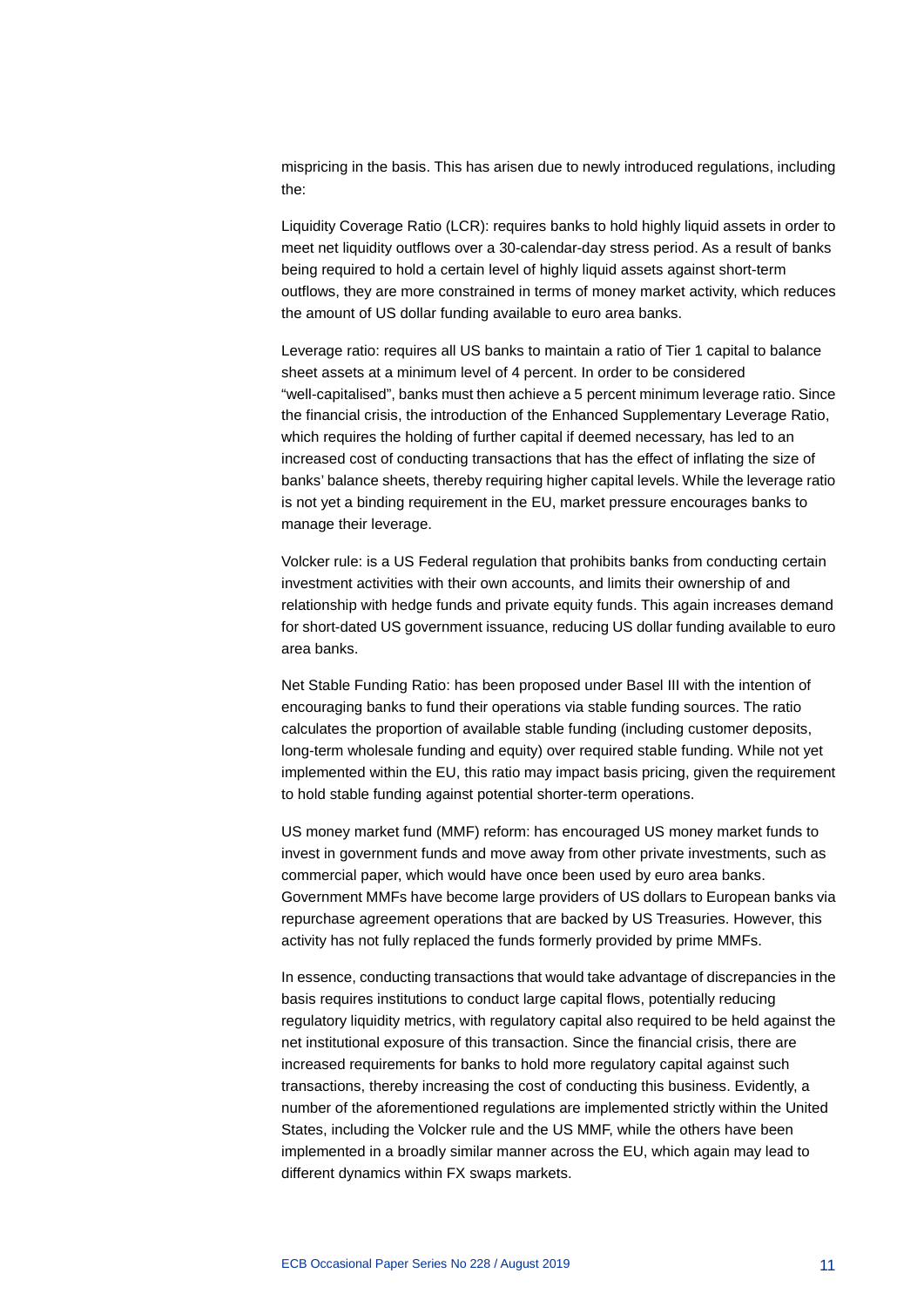mispricing in the basis. This has arisen due to newly introduced regulations, including the:

Liquidity Coverage Ratio (LCR): requires banks to hold highly liquid assets in order to meet net liquidity outflows over a 30-calendar-day stress period. As a result of banks being required to hold a certain level of highly liquid assets against short-term outflows, they are more constrained in terms of money market activity, which reduces the amount of US dollar funding available to euro area banks.

Leverage ratio: requires all US banks to maintain a ratio of Tier 1 capital to balance sheet assets at a minimum level of 4 percent. In order to be considered "well-capitalised", banks must then achieve a 5 percent minimum leverage ratio. Since the financial crisis, the introduction of the Enhanced Supplementary Leverage Ratio, which requires the holding of further capital if deemed necessary, has led to an increased cost of conducting transactions that has the effect of inflating the size of banks' balance sheets, thereby requiring higher capital levels. While the leverage ratio is not yet a binding requirement in the EU, market pressure encourages banks to manage their leverage.

Volcker rule: is a US Federal regulation that prohibits banks from conducting certain investment activities with their own accounts, and limits their ownership of and relationship with hedge funds and private equity funds. This again increases demand for short-dated US government issuance, reducing US dollar funding available to euro area banks.

Net Stable Funding Ratio: has been proposed under Basel III with the intention of encouraging banks to fund their operations via stable funding sources. The ratio calculates the proportion of available stable funding (including customer deposits, long-term wholesale funding and equity) over required stable funding. While not yet implemented within the EU, this ratio may impact basis pricing, given the requirement to hold stable funding against potential shorter-term operations.

US money market fund (MMF) reform: has encouraged US money market funds to invest in government funds and move away from other private investments, such as commercial paper, which would have once been used by euro area banks. Government MMFs have become large providers of US dollars to European banks via repurchase agreement operations that are backed by US Treasuries. However, this activity has not fully replaced the funds formerly provided by prime MMFs.

In essence, conducting transactions that would take advantage of discrepancies in the basis requires institutions to conduct large capital flows, potentially reducing regulatory liquidity metrics, with regulatory capital also required to be held against the net institutional exposure of this transaction. Since the financial crisis, there are increased requirements for banks to hold more regulatory capital against such transactions, thereby increasing the cost of conducting this business. Evidently, a number of the aforementioned regulations are implemented strictly within the United States, including the Volcker rule and the US MMF, while the others have been implemented in a broadly similar manner across the EU, which again may lead to different dynamics within FX swaps markets.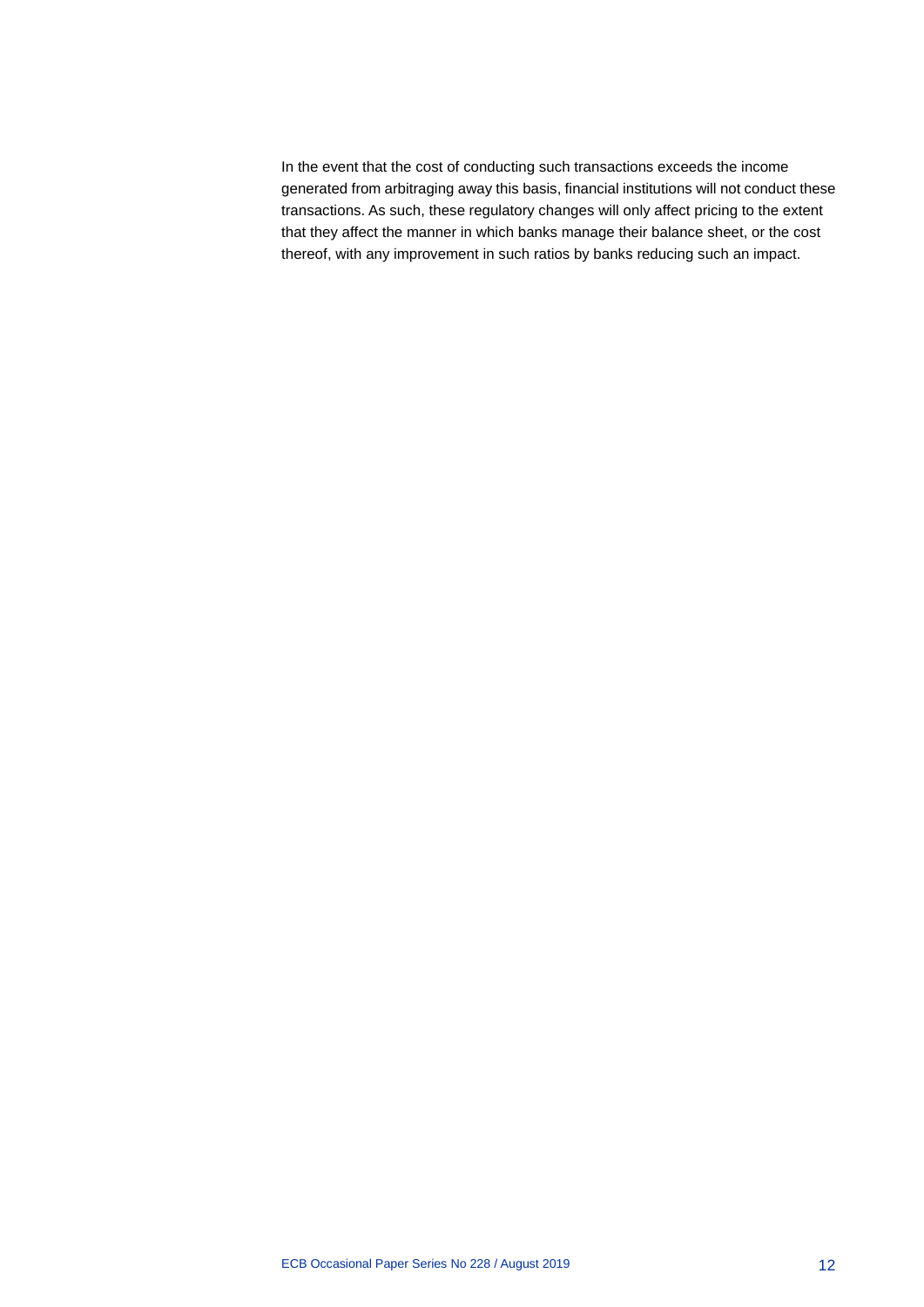In the event that the cost of conducting such transactions exceeds the income generated from arbitraging away this basis, financial institutions will not conduct these transactions. As such, these regulatory changes will only affect pricing to the extent that they affect the manner in which banks manage their balance sheet, or the cost thereof, with any improvement in such ratios by banks reducing such an impact.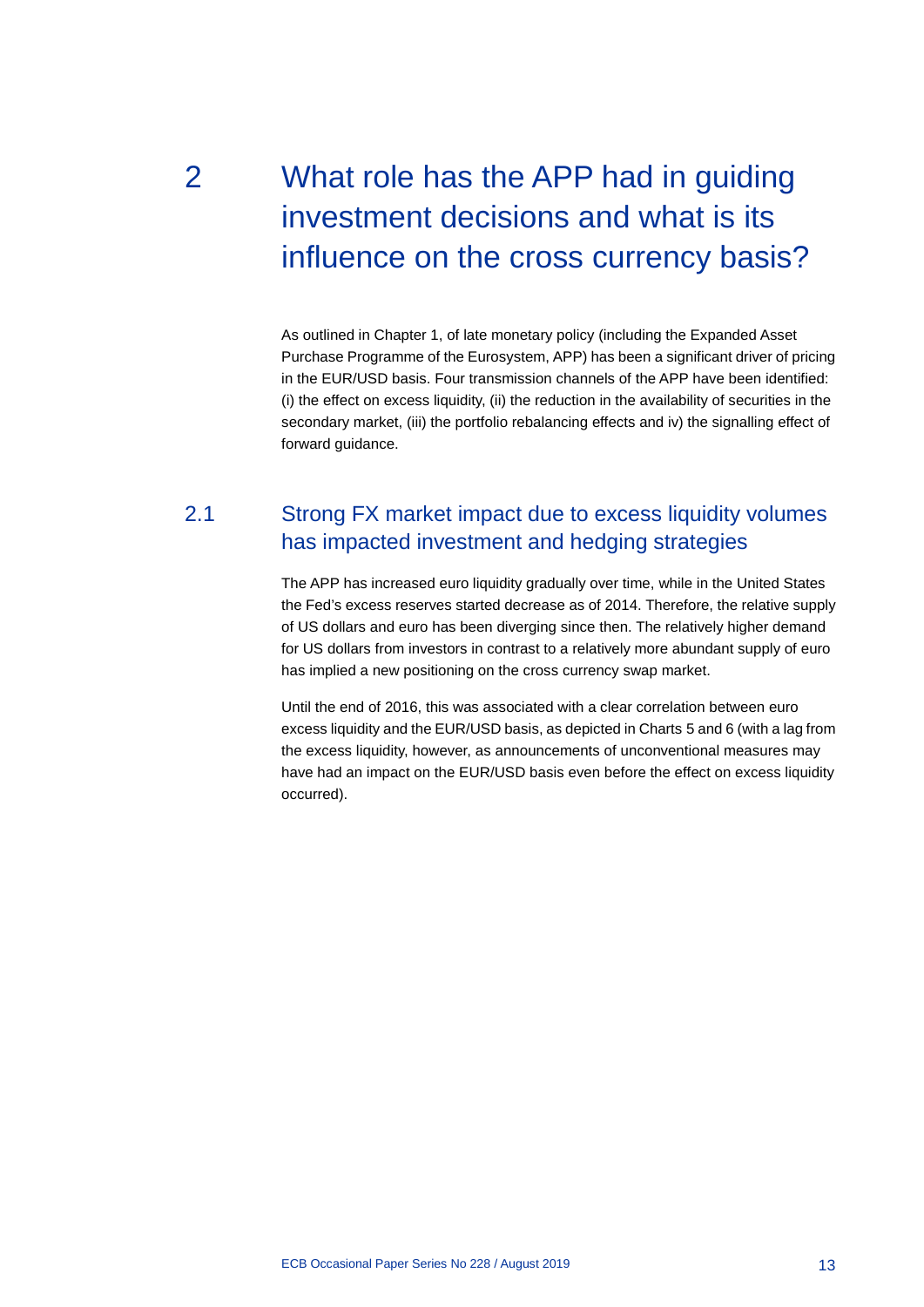# <span id="page-13-0"></span>2 What role has the APP had in guiding investment decisions and what is its influence on the cross currency basis?

As outlined in Chapter 1, of late monetary policy (including the Expanded Asset Purchase Programme of the Eurosystem, APP) has been a significant driver of pricing in the EUR/USD basis. Four transmission channels of the APP have been identified: (i) the effect on excess liquidity, (ii) the reduction in the availability of securities in the secondary market, (iii) the portfolio rebalancing effects and iv) the signalling effect of forward guidance.

## <span id="page-13-1"></span>2.1 Strong FX market impact due to excess liquidity volumes has impacted investment and hedging strategies

The APP has increased euro liquidity gradually over time, while in the United States the Fed's excess reserves started decrease as of 2014. Therefore, the relative supply of US dollars and euro has been diverging since then. The relatively higher demand for US dollars from investors in contrast to a relatively more abundant supply of euro has implied a new positioning on the cross currency swap market.

Until the end of 2016, this was associated with a clear correlation between euro excess liquidity and the EUR/USD basis, as depicted in Charts 5 and 6 (with a lag from the excess liquidity, however, as announcements of unconventional measures may have had an impact on the EUR/USD basis even before the effect on excess liquidity occurred).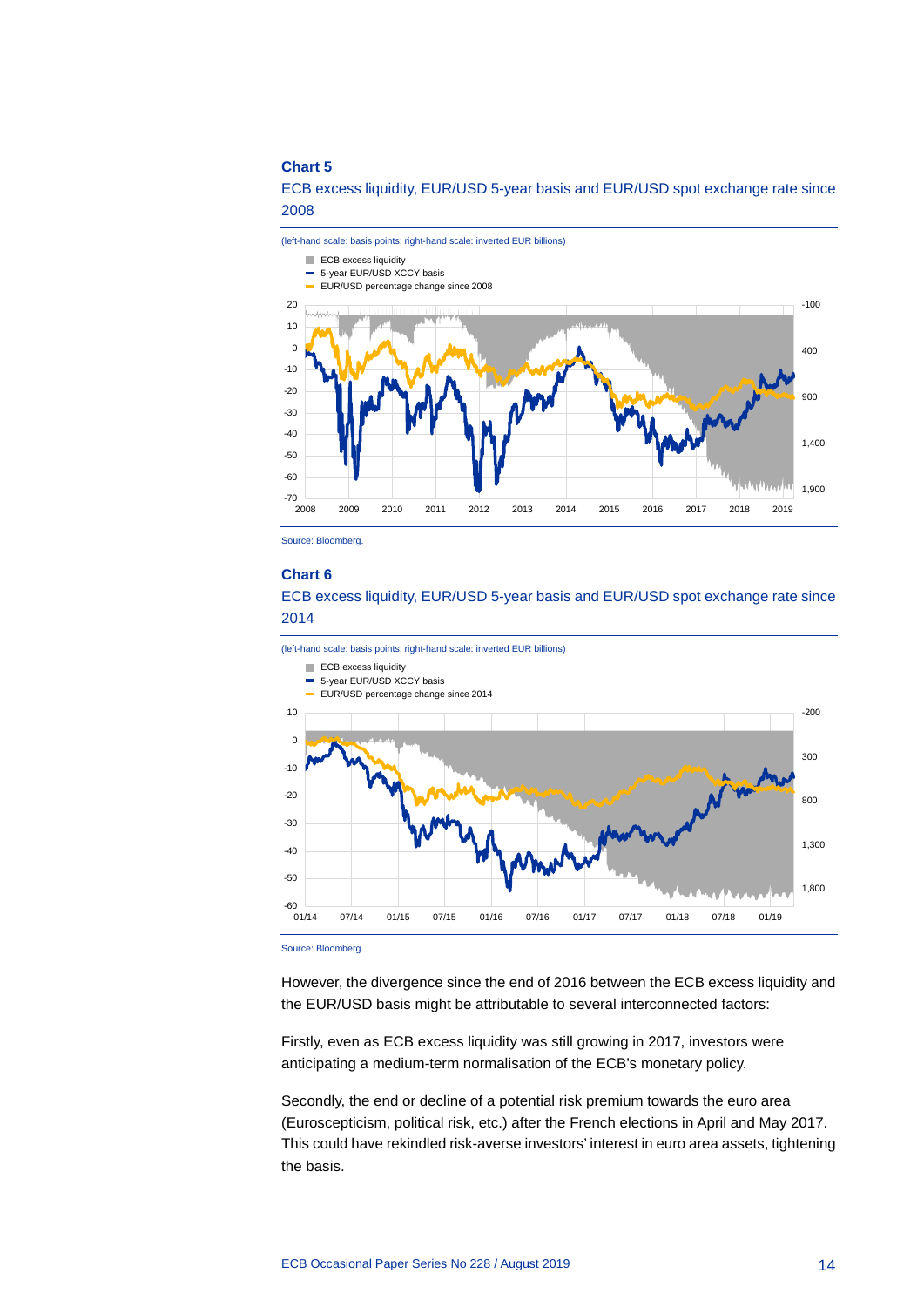ECB excess liquidity, EUR/USD 5-year basis and EUR/USD spot exchange rate since 2008



Source: Bloomberg.

#### **Chart 6**

ECB excess liquidity, EUR/USD 5-year basis and EUR/USD spot exchange rate since 2014



Source: Bloomberg.

However, the divergence since the end of 2016 between the ECB excess liquidity and the EUR/USD basis might be attributable to several interconnected factors:

Firstly, even as ECB excess liquidity was still growing in 2017, investors were anticipating a medium-term normalisation of the ECB's monetary policy.

Secondly, the end or decline of a potential risk premium towards the euro area (Euroscepticism, political risk, etc.) after the French elections in April and May 2017. This could have rekindled risk-averse investors' interest in euro area assets, tightening the basis.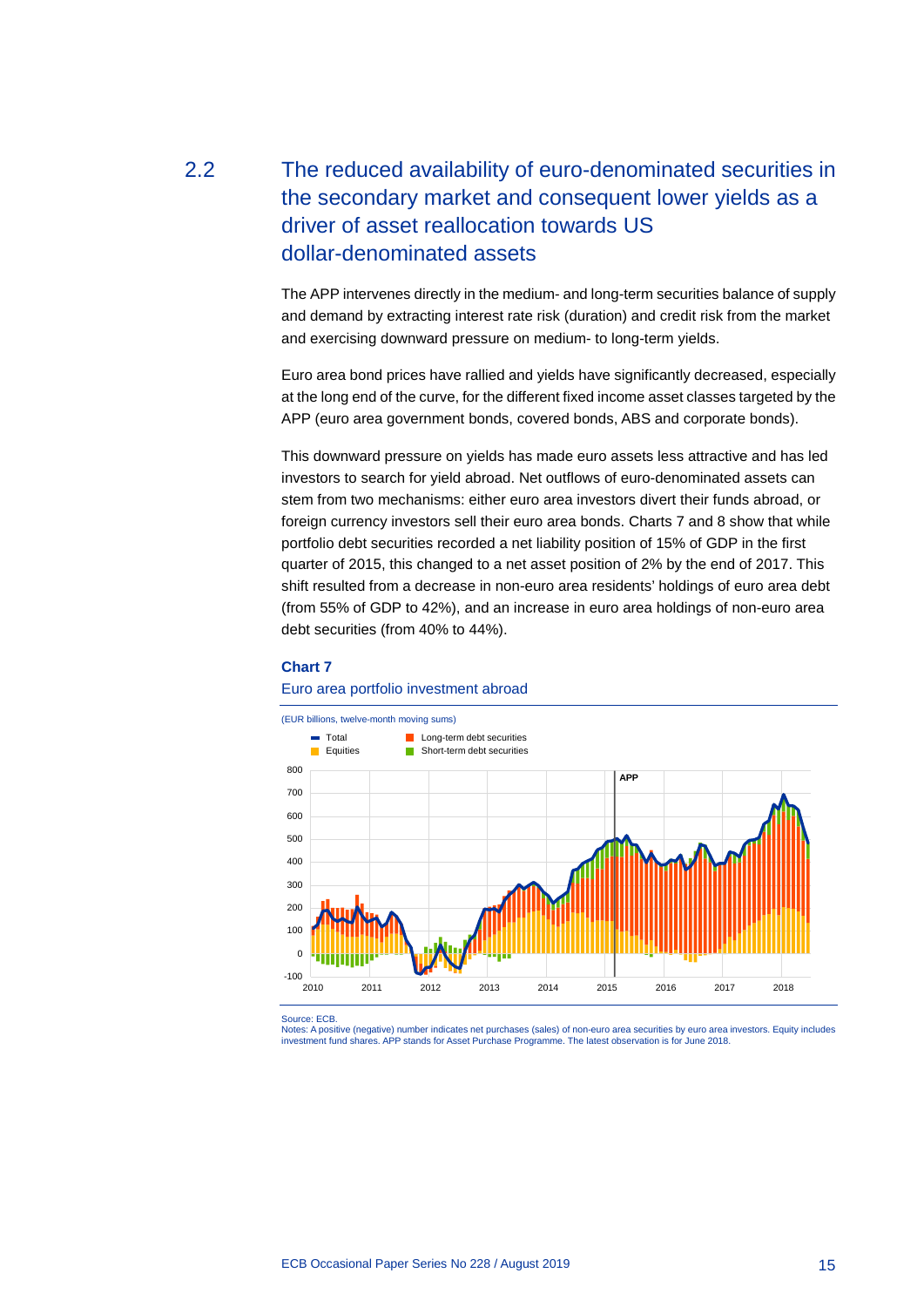# <span id="page-15-0"></span>2.2 The reduced availability of euro-denominated securities in the secondary market and consequent lower yields as a driver of asset reallocation towards US dollar-denominated assets

The APP intervenes directly in the medium- and long-term securities balance of supply and demand by extracting interest rate risk (duration) and credit risk from the market and exercising downward pressure on medium- to long-term yields.

Euro area bond prices have rallied and yields have significantly decreased, especially at the long end of the curve, for the different fixed income asset classes targeted by the APP (euro area government bonds, covered bonds, ABS and corporate bonds).

This downward pressure on yields has made euro assets less attractive and has led investors to search for yield abroad. Net outflows of euro-denominated assets can stem from two mechanisms: either euro area investors divert their funds abroad, or foreign currency investors sell their euro area bonds. Charts 7 and 8 show that while portfolio debt securities recorded a net liability position of 15% of GDP in the first quarter of 2015, this changed to a net asset position of 2% by the end of 2017. This shift resulted from a decrease in non-euro area residents' holdings of euro area debt (from 55% of GDP to 42%), and an increase in euro area holdings of non-euro area debt securities (from 40% to 44%).

#### **Chart 7**

#### Euro area portfolio investment abroad



Source: ECB.

Notes: A positive (negative) number indicates net purchases (sales) of non-euro area securities by euro area investors. Equity includes investment fund shares. APP stands for Asset Purchase Programme. The latest observation is for June 2018.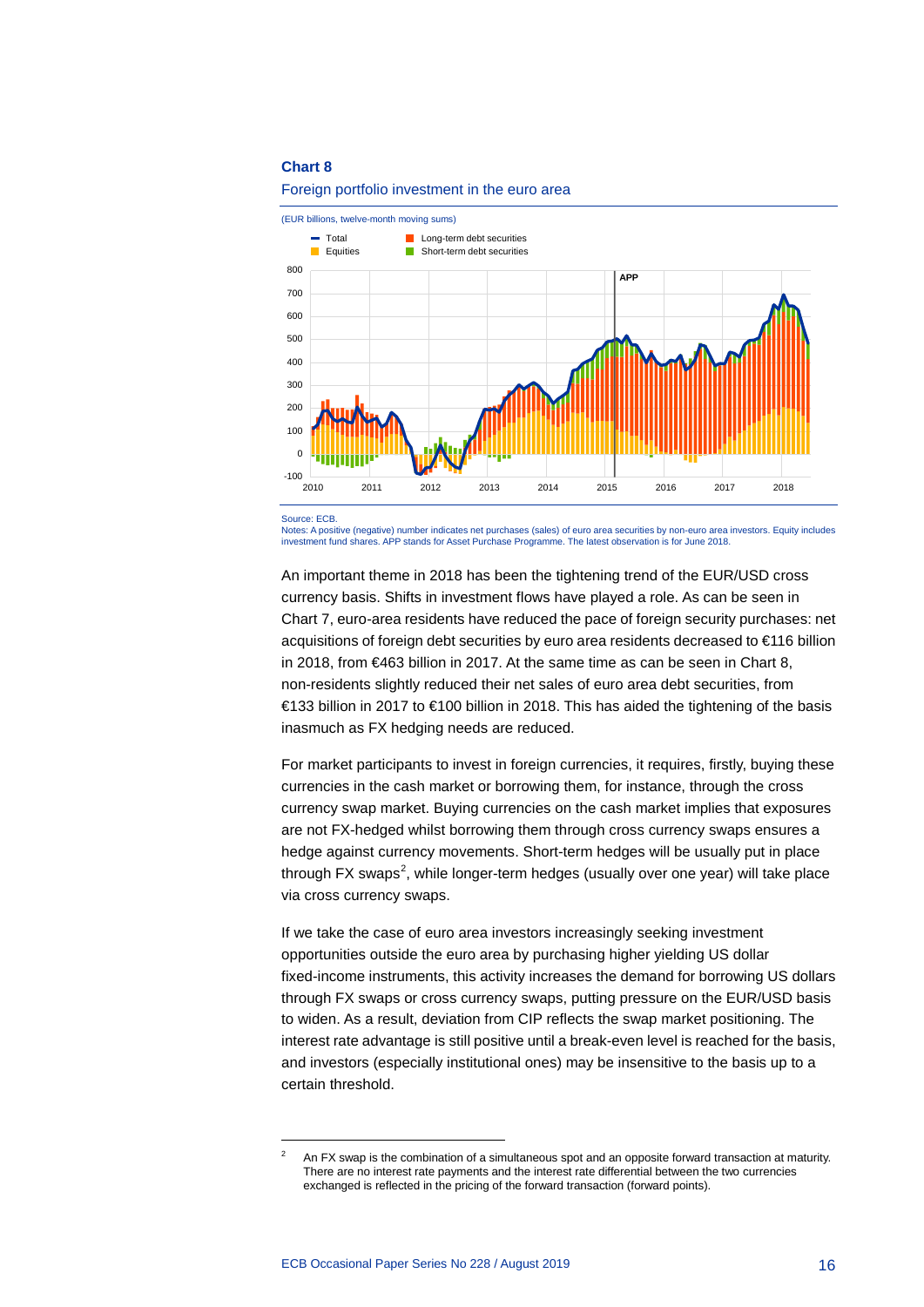



Source: ECB.

-

Notes: A positive (negative) number indicates net purchases (sales) of euro area securities by non-euro area investors. Equity includes investment fund shares. APP stands for Asset Purchase Programme. The latest observation is for June 2018.

An important theme in 2018 has been the tightening trend of the EUR/USD cross currency basis. Shifts in investment flows have played a role. As can be seen in Chart 7, euro-area residents have reduced the pace of foreign security purchases: net acquisitions of foreign debt securities by euro area residents decreased to €116 billion in 2018, from €463 billion in 2017. At the same time as can be seen in Chart 8, non-residents slightly reduced their net sales of euro area debt securities, from €133 billion in 2017 to €100 billion in 2018. This has aided the tightening of the basis inasmuch as FX hedging needs are reduced.

For market participants to invest in foreign currencies, it requires, firstly, buying these currencies in the cash market or borrowing them, for instance, through the cross currency swap market. Buying currencies on the cash market implies that exposures are not FX-hedged whilst borrowing them through cross currency swaps ensures a hedge against currency movements. Short-term hedges will be usually put in place through FX swaps<sup>[2](#page-16-0)</sup>, while longer-term hedges (usually over one year) will take place via cross currency swaps.

If we take the case of euro area investors increasingly seeking investment opportunities outside the euro area by purchasing higher yielding US dollar fixed-income instruments, this activity increases the demand for borrowing US dollars through FX swaps or cross currency swaps, putting pressure on the EUR/USD basis to widen. As a result, deviation from CIP reflects the swap market positioning. The interest rate advantage is still positive until a break-even level is reached for the basis, and investors (especially institutional ones) may be insensitive to the basis up to a certain threshold.

<span id="page-16-0"></span> $2^2$  An FX swap is the combination of a simultaneous spot and an opposite forward transaction at maturity. There are no interest rate payments and the interest rate differential between the two currencies exchanged is reflected in the pricing of the forward transaction (forward points).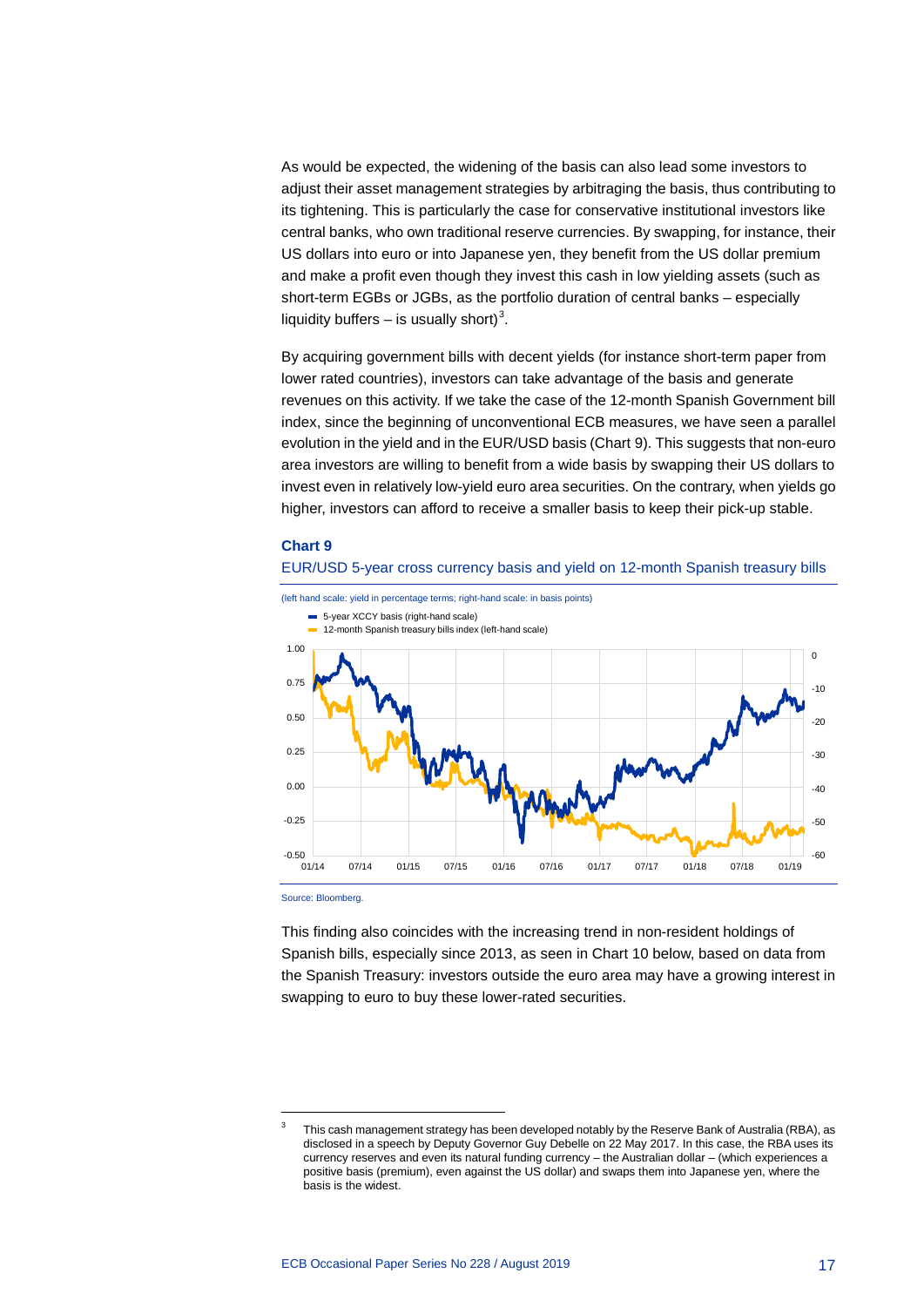As would be expected, the widening of the basis can also lead some investors to adjust their asset management strategies by arbitraging the basis, thus contributing to its tightening. This is particularly the case for conservative institutional investors like central banks, who own traditional reserve currencies. By swapping, for instance, their US dollars into euro or into Japanese yen, they benefit from the US dollar premium and make a profit even though they invest this cash in low yielding assets (such as short-term EGBs or JGBs, as the portfolio duration of central banks – especially liquidity buffers  $-$  is usually short)<sup>[3](#page-17-0)</sup>.

By acquiring government bills with decent yields (for instance short-term paper from lower rated countries), investors can take advantage of the basis and generate revenues on this activity. If we take the case of the 12-month Spanish Government bill index, since the beginning of unconventional ECB measures, we have seen a parallel evolution in the yield and in the EUR/USD basis (Chart 9). This suggests that non-euro area investors are willing to benefit from a wide basis by swapping their US dollars to invest even in relatively low-yield euro area securities. On the contrary, when yields go higher, investors can afford to receive a smaller basis to keep their pick-up stable.

#### **Chart 9**





Source: Bloomberg.

-

This finding also coincides with the increasing trend in non-resident holdings of Spanish bills, especially since 2013, as seen in Chart 10 below, based on data from the Spanish Treasury: investors outside the euro area may have a growing interest in swapping to euro to buy these lower-rated securities.

<span id="page-17-0"></span>This cash management strategy has been developed notably by the Reserve Bank of Australia (RBA), as disclosed in a speech by Deputy Governor Guy Debelle on 22 May 2017. In this case, the RBA uses its currency reserves and even its natural funding currency – the Australian dollar – (which experiences a positive basis (premium), even against the US dollar) and swaps them into Japanese yen, where the basis is the widest.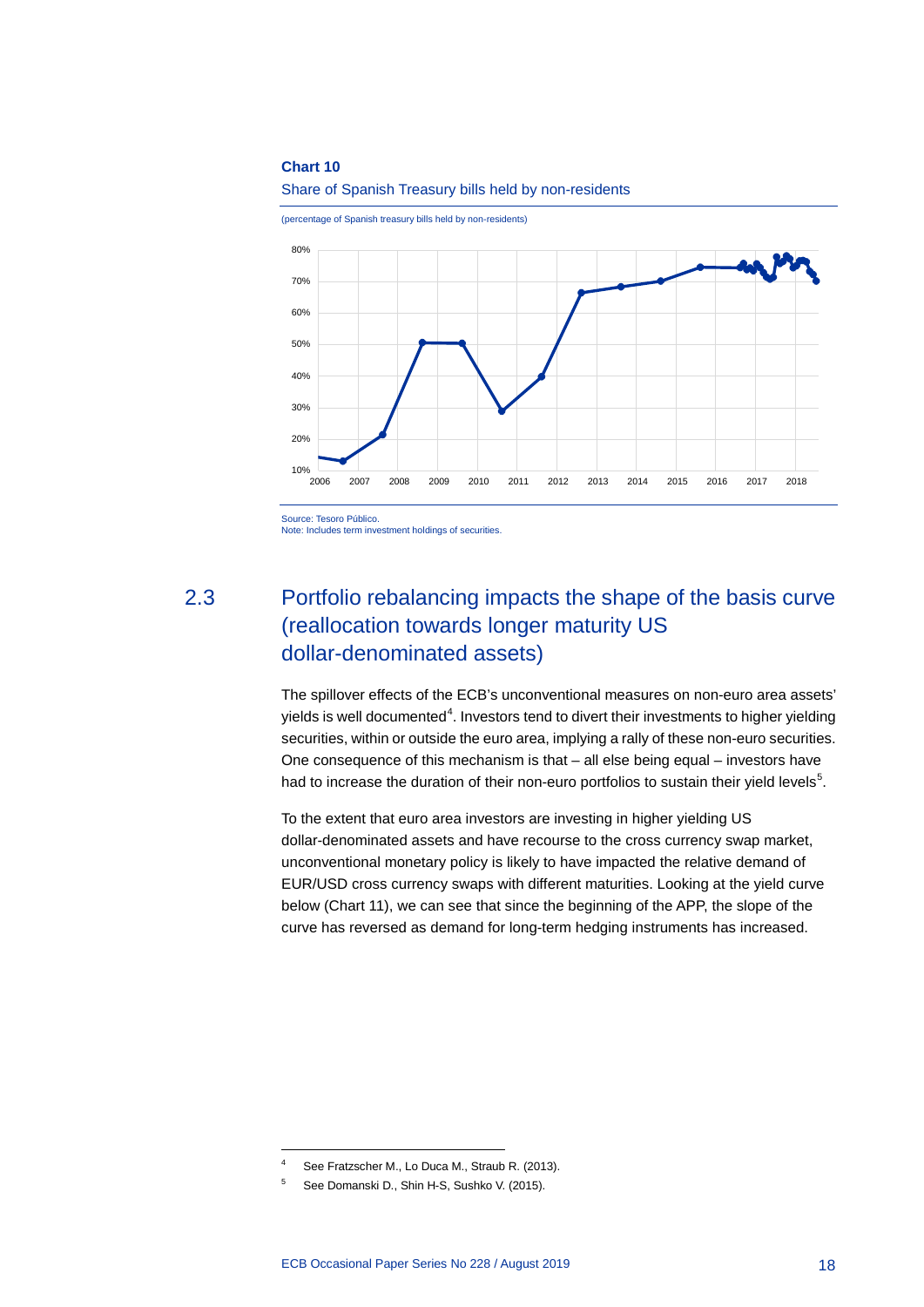

(percentage of Spanish treasury bills held by non-residents)



Source: Tesoro Público.

<span id="page-18-0"></span>Note: Includes term investment holdings of securities.

2.3 Portfolio rebalancing impacts the shape of the basis curve (reallocation towards longer maturity US dollar-denominated assets)

> The spillover effects of the ECB's unconventional measures on non-euro area assets' yields is well documented $^4$  $^4$ . Investors tend to divert their investments to higher yielding securities, within or outside the euro area, implying a rally of these non-euro securities. One consequence of this mechanism is that – all else being equal – investors have had to increase the duration of their non-euro portfolios to sustain their yield levels $5$ .

To the extent that euro area investors are investing in higher yielding US dollar-denominated assets and have recourse to the cross currency swap market, unconventional monetary policy is likely to have impacted the relative demand of EUR/USD cross currency swaps with different maturities. Looking at the yield curve below (Chart 11), we can see that since the beginning of the APP, the slope of the curve has reversed as demand for long-term hedging instruments has increased.

See Fratzscher M., Lo Duca M., Straub R. (2013).

<span id="page-18-2"></span><span id="page-18-1"></span><sup>5</sup> See Domanski D., Shin H-S, Sushko V. (2015).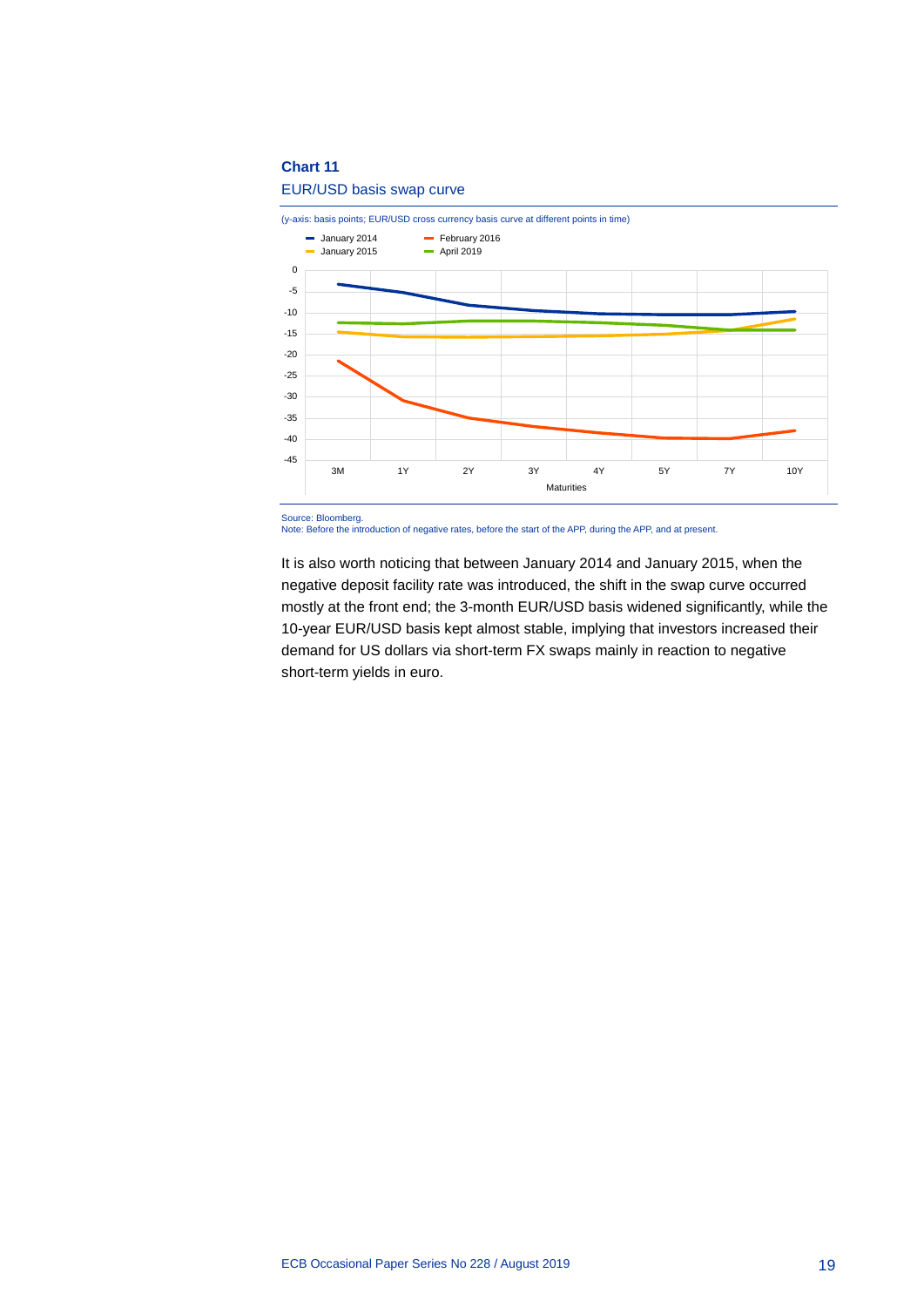### EUR/USD basis swap curve



Note: Before the introduction of negative rates, before the start of the APP, during the APP, and at present.

It is also worth noticing that between January 2014 and January 2015, when the negative deposit facility rate was introduced, the shift in the swap curve occurred mostly at the front end; the 3-month EUR/USD basis widened significantly, while the 10-year EUR/USD basis kept almost stable, implying that investors increased their demand for US dollars via short-term FX swaps mainly in reaction to negative short-term yields in euro.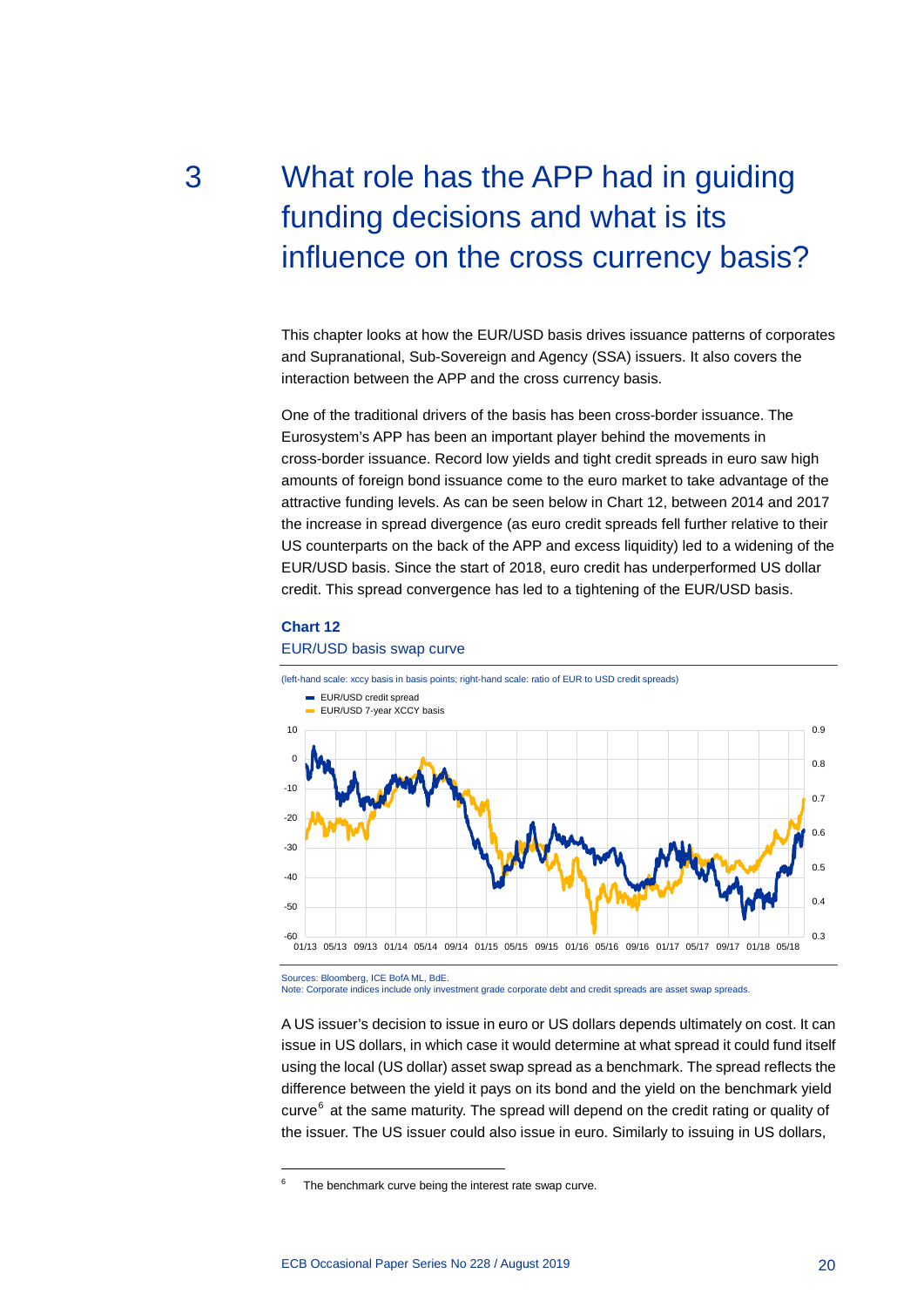# <span id="page-20-0"></span>3 What role has the APP had in guiding funding decisions and what is its influence on the cross currency basis?

This chapter looks at how the EUR/USD basis drives issuance patterns of corporates and Supranational, Sub-Sovereign and Agency (SSA) issuers. It also covers the interaction between the APP and the cross currency basis.

One of the traditional drivers of the basis has been cross-border issuance. The Eurosystem's APP has been an important player behind the movements in cross-border issuance. Record low yields and tight credit spreads in euro saw high amounts of foreign bond issuance come to the euro market to take advantage of the attractive funding levels. As can be seen below in Chart 12, between 2014 and 2017 the increase in spread divergence (as euro credit spreads fell further relative to their US counterparts on the back of the APP and excess liquidity) led to a widening of the EUR/USD basis. Since the start of 2018, euro credit has underperformed US dollar credit. This spread convergence has led to a tightening of the EUR/USD basis.

#### **Chart 12**

-

#### EUR/USD basis swap curve



Sources: Bloomberg, ICE BofA ML, BdE. Note: Corporate indices include only investment grade corporate debt and credit spreads are asset swap spreads.

A US issuer's decision to issue in euro or US dollars depends ultimately on cost. It can issue in US dollars, in which case it would determine at what spread it could fund itself using the local (US dollar) asset swap spread as a benchmark. The spread reflects the difference between the yield it pays on its bond and the yield on the benchmark yield curve<sup>[6](#page-20-1)</sup> at the same maturity. The spread will depend on the credit rating or quality of the issuer. The US issuer could also issue in euro. Similarly to issuing in US dollars,

<span id="page-20-1"></span>The benchmark curve being the interest rate swap curve.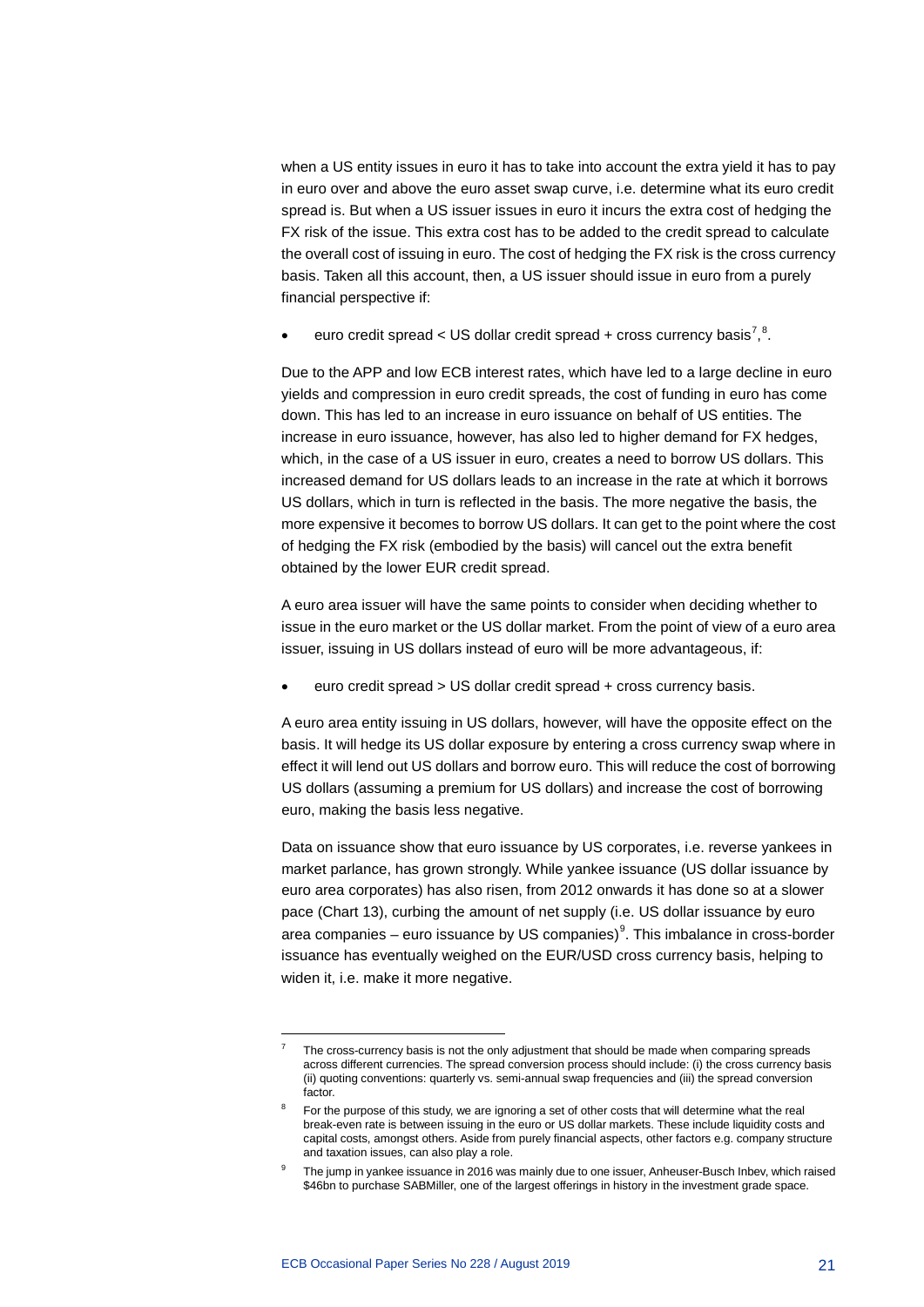when a US entity issues in euro it has to take into account the extra yield it has to pay in euro over and above the euro asset swap curve, i.e. determine what its euro credit spread is. But when a US issuer issues in euro it incurs the extra cost of hedging the FX risk of the issue. This extra cost has to be added to the credit spread to calculate the overall cost of issuing in euro. The cost of hedging the FX risk is the cross currency basis. Taken all this account, then, a US issuer should issue in euro from a purely financial perspective if:

• euro credit spread < US dollar credit spread + cross currency basis<sup>[7](#page-21-0)</sup>,<sup>[8](#page-21-1)</sup>.

Due to the APP and low ECB interest rates, which have led to a large decline in euro yields and compression in euro credit spreads, the cost of funding in euro has come down. This has led to an increase in euro issuance on behalf of US entities. The increase in euro issuance, however, has also led to higher demand for FX hedges, which, in the case of a US issuer in euro, creates a need to borrow US dollars. This increased demand for US dollars leads to an increase in the rate at which it borrows US dollars, which in turn is reflected in the basis. The more negative the basis, the more expensive it becomes to borrow US dollars. It can get to the point where the cost of hedging the FX risk (embodied by the basis) will cancel out the extra benefit obtained by the lower EUR credit spread.

A euro area issuer will have the same points to consider when deciding whether to issue in the euro market or the US dollar market. From the point of view of a euro area issuer, issuing in US dollars instead of euro will be more advantageous, if:

• euro credit spread > US dollar credit spread + cross currency basis.

A euro area entity issuing in US dollars, however, will have the opposite effect on the basis. It will hedge its US dollar exposure by entering a cross currency swap where in effect it will lend out US dollars and borrow euro. This will reduce the cost of borrowing US dollars (assuming a premium for US dollars) and increase the cost of borrowing euro, making the basis less negative.

Data on issuance show that euro issuance by US corporates, i.e. reverse yankees in market parlance, has grown strongly. While yankee issuance (US dollar issuance by euro area corporates) has also risen, from 2012 onwards it has done so at a slower pace (Chart 13), curbing the amount of net supply (i.e. US dollar issuance by euro area companies – euro issuance by US companies) $9$ . This imbalance in cross-border issuance has eventually weighed on the EUR/USD cross currency basis, helping to widen it, i.e. make it more negative.

<span id="page-21-0"></span>The cross-currency basis is not the only adjustment that should be made when comparing spreads across different currencies. The spread conversion process should include: (i) the cross currency basis (ii) quoting conventions: quarterly vs. semi-annual swap frequencies and (iii) the spread conversion factor.

<span id="page-21-1"></span>For the purpose of this study, we are ignoring a set of other costs that will determine what the real break-even rate is between issuing in the euro or US dollar markets. These include liquidity costs and capital costs, amongst others. Aside from purely financial aspects, other factors e.g. company structure and taxation issues, can also play a role.

<span id="page-21-2"></span>The jump in yankee issuance in 2016 was mainly due to one issuer, Anheuser-Busch Inbev, which raised \$46bn to purchase SABMiller, one of the largest offerings in history in the investment grade space.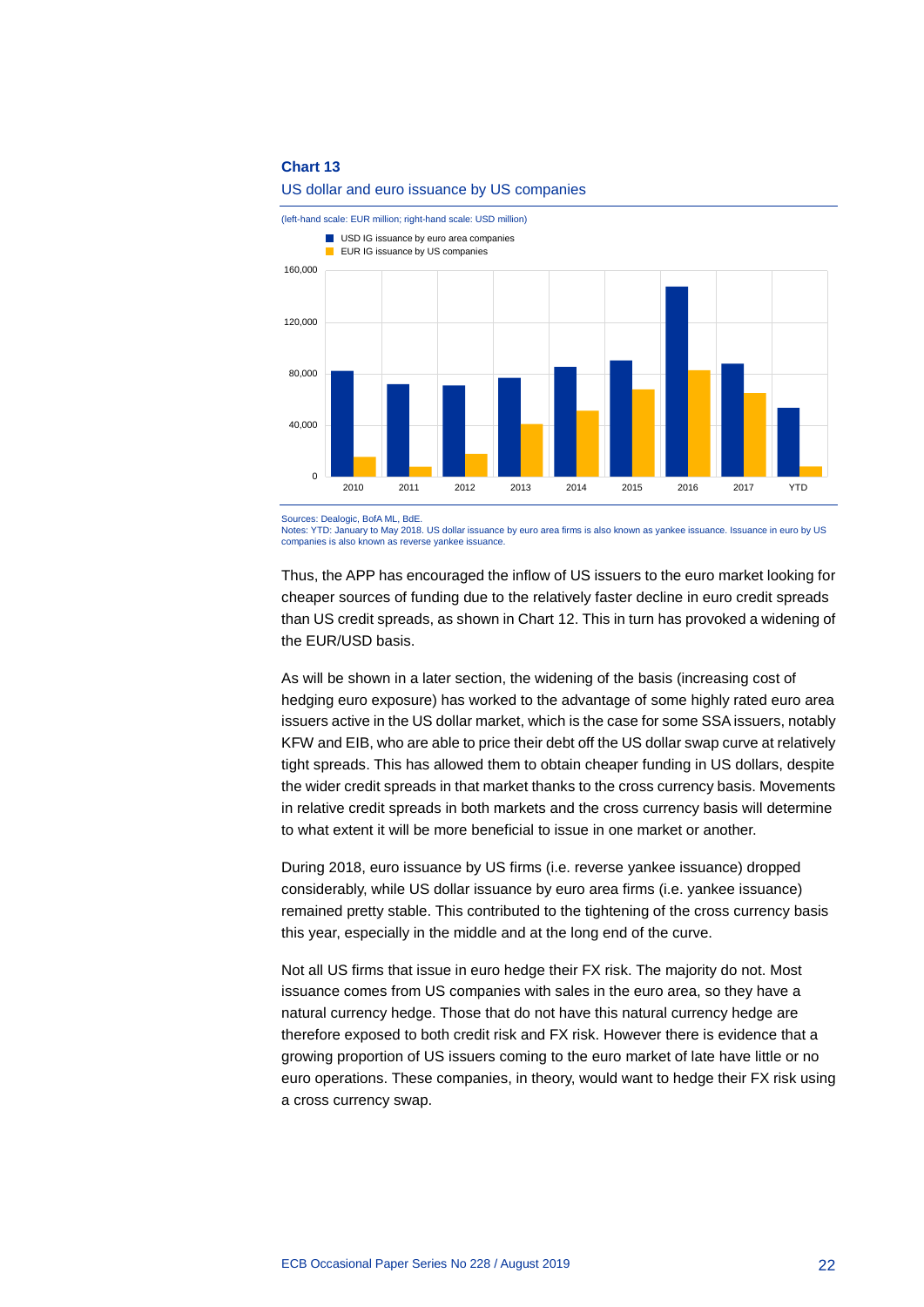

#### US dollar and euro issuance by US companies

Sources: Dealogic, BofA ML, BdE.

Notes: YTD: January to May 2018. US dollar issuance by euro area firms is also known as yankee issuance. Issuance in euro by US companies is also known as reverse yankee issuance.

Thus, the APP has encouraged the inflow of US issuers to the euro market looking for cheaper sources of funding due to the relatively faster decline in euro credit spreads than US credit spreads, as shown in Chart 12. This in turn has provoked a widening of the EUR/USD basis.

As will be shown in a later section, the widening of the basis (increasing cost of hedging euro exposure) has worked to the advantage of some highly rated euro area issuers active in the US dollar market, which is the case for some SSA issuers, notably KFW and EIB, who are able to price their debt off the US dollar swap curve at relatively tight spreads. This has allowed them to obtain cheaper funding in US dollars, despite the wider credit spreads in that market thanks to the cross currency basis. Movements in relative credit spreads in both markets and the cross currency basis will determine to what extent it will be more beneficial to issue in one market or another.

During 2018, euro issuance by US firms (i.e. reverse yankee issuance) dropped considerably, while US dollar issuance by euro area firms (i.e. yankee issuance) remained pretty stable. This contributed to the tightening of the cross currency basis this year, especially in the middle and at the long end of the curve.

Not all US firms that issue in euro hedge their FX risk. The majority do not. Most issuance comes from US companies with sales in the euro area, so they have a natural currency hedge. Those that do not have this natural currency hedge are therefore exposed to both credit risk and FX risk. However there is evidence that a growing proportion of US issuers coming to the euro market of late have little or no euro operations. These companies, in theory, would want to hedge their FX risk using a cross currency swap.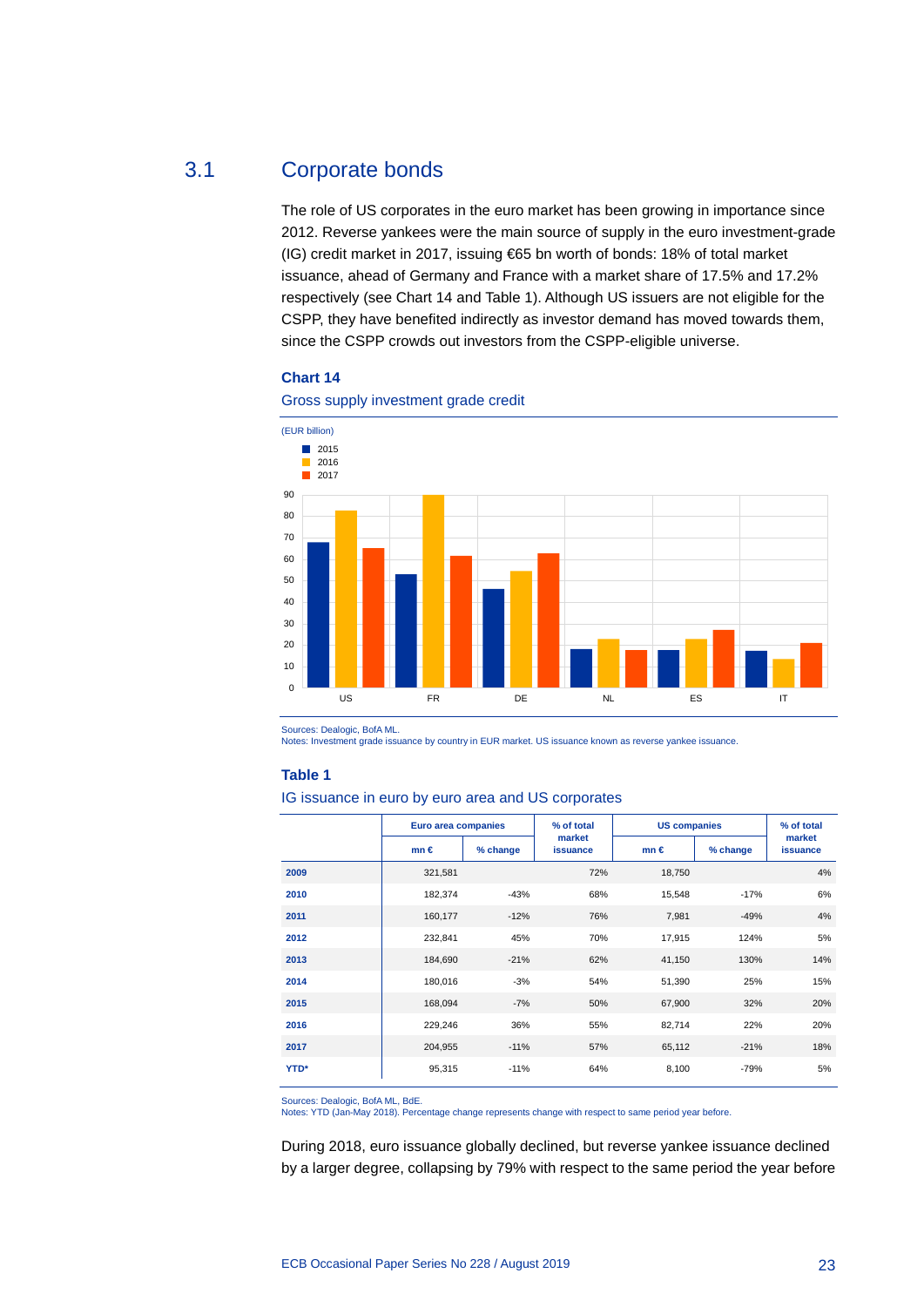### 3.1 Corporate bonds

<span id="page-23-0"></span>The role of US corporates in the euro market has been growing in importance since 2012. Reverse yankees were the main source of supply in the euro investment-grade (IG) credit market in 2017, issuing €65 bn worth of bonds: 18% of total market issuance, ahead of Germany and France with a market share of 17.5% and 17.2% respectively (see Chart 14 and Table 1). Although US issuers are not eligible for the CSPP, they have benefited indirectly as investor demand has moved towards them, since the CSPP crowds out investors from the CSPP-eligible universe.

#### **Chart 14**



Gross supply investment grade credit

Sources: Dealogic, BofA ML.

Notes: Investment grade issuance by country in EUR market. US issuance known as reverse yankee issuance.

#### **Table 1**

IG issuance in euro by euro area and US corporates

|             | Euro area companies |          | % of total         | <b>US companies</b> |          | % of total         |
|-------------|---------------------|----------|--------------------|---------------------|----------|--------------------|
|             | $mn \in$            | % change | market<br>issuance | $mn \in$            | % change | market<br>issuance |
| 2009        | 321,581             |          | 72%                | 18,750              |          | 4%                 |
| 2010        | 182,374             | $-43%$   | 68%                | 15,548              | $-17%$   | 6%                 |
| 2011        | 160,177             | $-12%$   | 76%                | 7,981               | $-49%$   | 4%                 |
| 2012        | 232,841             | 45%      | 70%                | 17,915              | 124%     | 5%                 |
| 2013        | 184,690             | $-21%$   | 62%                | 41,150              | 130%     | 14%                |
| 2014        | 180,016             | $-3%$    | 54%                | 51,390              | 25%      | 15%                |
| 2015        | 168,094             | $-7%$    | 50%                | 67,900              | 32%      | 20%                |
| 2016        | 229,246             | 36%      | 55%                | 82,714              | 22%      | 20%                |
| 2017        | 204,955             | $-11%$   | 57%                | 65,112              | $-21%$   | 18%                |
| <b>YTD*</b> | 95,315              | $-11%$   | 64%                | 8,100               | $-79%$   | 5%                 |

Sources: Dealogic, BofA ML, BdE. Notes: YTD (Jan-May 2018). Percentage change represents change with respect to same period year before.

During 2018, euro issuance globally declined, but reverse yankee issuance declined by a larger degree, collapsing by 79% with respect to the same period the year before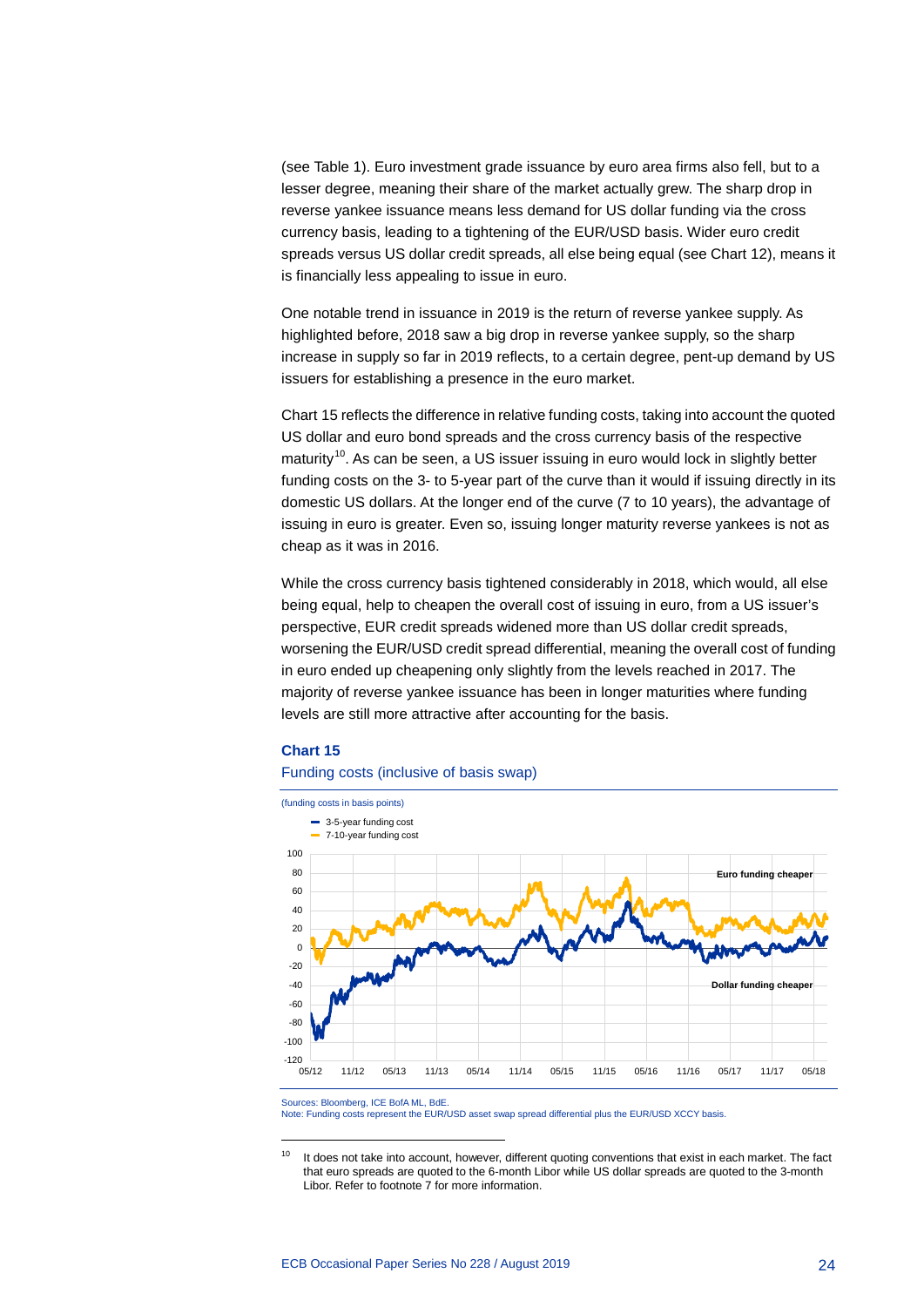(see Table 1). Euro investment grade issuance by euro area firms also fell, but to a lesser degree, meaning their share of the market actually grew. The sharp drop in reverse yankee issuance means less demand for US dollar funding via the cross currency basis, leading to a tightening of the EUR/USD basis. Wider euro credit spreads versus US dollar credit spreads, all else being equal (see Chart 12), means it is financially less appealing to issue in euro.

One notable trend in issuance in 2019 is the return of reverse yankee supply. As highlighted before, 2018 saw a big drop in reverse yankee supply, so the sharp increase in supply so far in 2019 reflects, to a certain degree, pent-up demand by US issuers for establishing a presence in the euro market.

Chart 15 reflects the difference in relative funding costs, taking into account the quoted US dollar and euro bond spreads and the cross currency basis of the respective maturity<sup>[10](#page-24-0)</sup>. As can be seen, a US issuer issuing in euro would lock in slightly better funding costs on the 3- to 5-year part of the curve than it would if issuing directly in its domestic US dollars. At the longer end of the curve (7 to 10 years), the advantage of issuing in euro is greater. Even so, issuing longer maturity reverse yankees is not as cheap as it was in 2016.

While the cross currency basis tightened considerably in 2018, which would, all else being equal, help to cheapen the overall cost of issuing in euro, from a US issuer's perspective, EUR credit spreads widened more than US dollar credit spreads, worsening the EUR/USD credit spread differential, meaning the overall cost of funding in euro ended up cheapening only slightly from the levels reached in 2017. The majority of reverse yankee issuance has been in longer maturities where funding levels are still more attractive after accounting for the basis.

#### **Chart 15**

#### Funding costs (inclusive of basis swap)



Sources: Bloomberg, ICE BofA ML, BdE.

-

Note: Funding costs represent the EUR/USD asset swap spread differential plus the EUR/USD XCCY basis.

<span id="page-24-0"></span><sup>&</sup>lt;sup>10</sup> It does not take into account, however, different quoting conventions that exist in each market. The fact that euro spreads are quoted to the 6-month Libor while US dollar spreads are quoted to the 3-month Libor. Refer to footnote 7 for more information.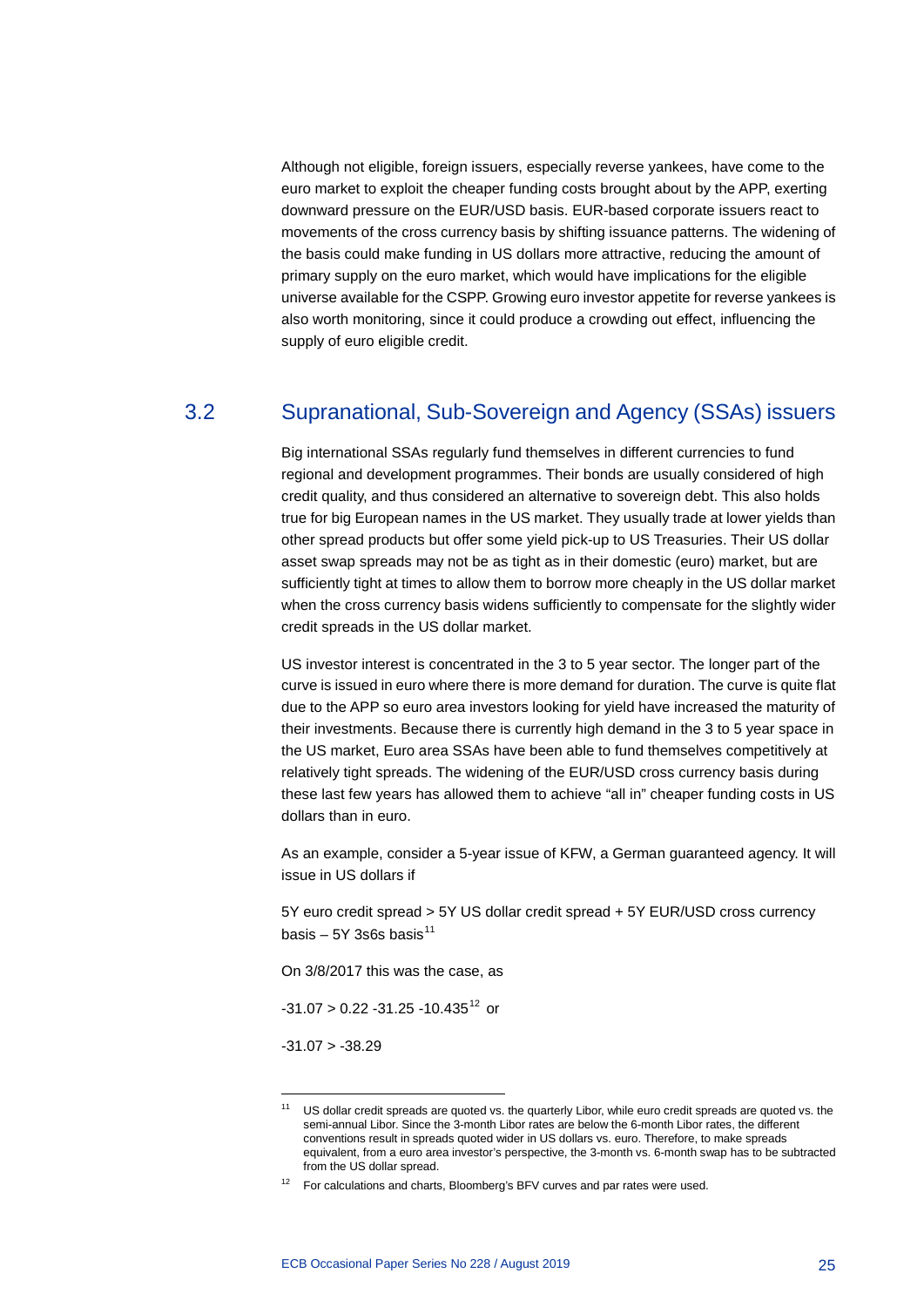Although not eligible, foreign issuers, especially reverse yankees, have come to the euro market to exploit the cheaper funding costs brought about by the APP, exerting downward pressure on the EUR/USD basis. EUR-based corporate issuers react to movements of the cross currency basis by shifting issuance patterns. The widening of the basis could make funding in US dollars more attractive, reducing the amount of primary supply on the euro market, which would have implications for the eligible universe available for the CSPP. Growing euro investor appetite for reverse yankees is also worth monitoring, since it could produce a crowding out effect, influencing the supply of euro eligible credit.

## 3.2 Supranational, Sub-Sovereign and Agency (SSAs) issuers

<span id="page-25-0"></span>Big international SSAs regularly fund themselves in different currencies to fund regional and development programmes. Their bonds are usually considered of high credit quality, and thus considered an alternative to sovereign debt. This also holds true for big European names in the US market. They usually trade at lower yields than other spread products but offer some yield pick-up to US Treasuries. Their US dollar asset swap spreads may not be as tight as in their domestic (euro) market, but are sufficiently tight at times to allow them to borrow more cheaply in the US dollar market when the cross currency basis widens sufficiently to compensate for the slightly wider credit spreads in the US dollar market.

US investor interest is concentrated in the 3 to 5 year sector. The longer part of the curve is issued in euro where there is more demand for duration. The curve is quite flat due to the APP so euro area investors looking for yield have increased the maturity of their investments. Because there is currently high demand in the 3 to 5 year space in the US market, Euro area SSAs have been able to fund themselves competitively at relatively tight spreads. The widening of the EUR/USD cross currency basis during these last few years has allowed them to achieve "all in" cheaper funding costs in US dollars than in euro.

As an example, consider a 5-year issue of KFW, a German guaranteed agency. It will issue in US dollars if

5Y euro credit spread > 5Y US dollar credit spread + 5Y EUR/USD cross currency basis – 5Y 3s6s basis $^{11}$  $^{11}$  $^{11}$ 

On 3/8/2017 this was the case, as

 $-31.07 > 0.22 -31.25 -10.435^{12}$  $-31.07 > 0.22 -31.25 -10.435^{12}$  $-31.07 > 0.22 -31.25 -10.435^{12}$  or

 $-31.07 > -38.29$ 

<span id="page-25-1"></span><sup>&</sup>lt;sup>11</sup> US dollar credit spreads are quoted vs. the quarterly Libor, while euro credit spreads are quoted vs. the semi-annual Libor. Since the 3-month Libor rates are below the 6-month Libor rates, the different conventions result in spreads quoted wider in US dollars vs. euro. Therefore, to make spreads equivalent, from a euro area investor's perspective, the 3-month vs. 6-month swap has to be subtracted from the US dollar spread.

<span id="page-25-2"></span><sup>&</sup>lt;sup>12</sup> For calculations and charts, Bloomberg's BFV curves and par rates were used.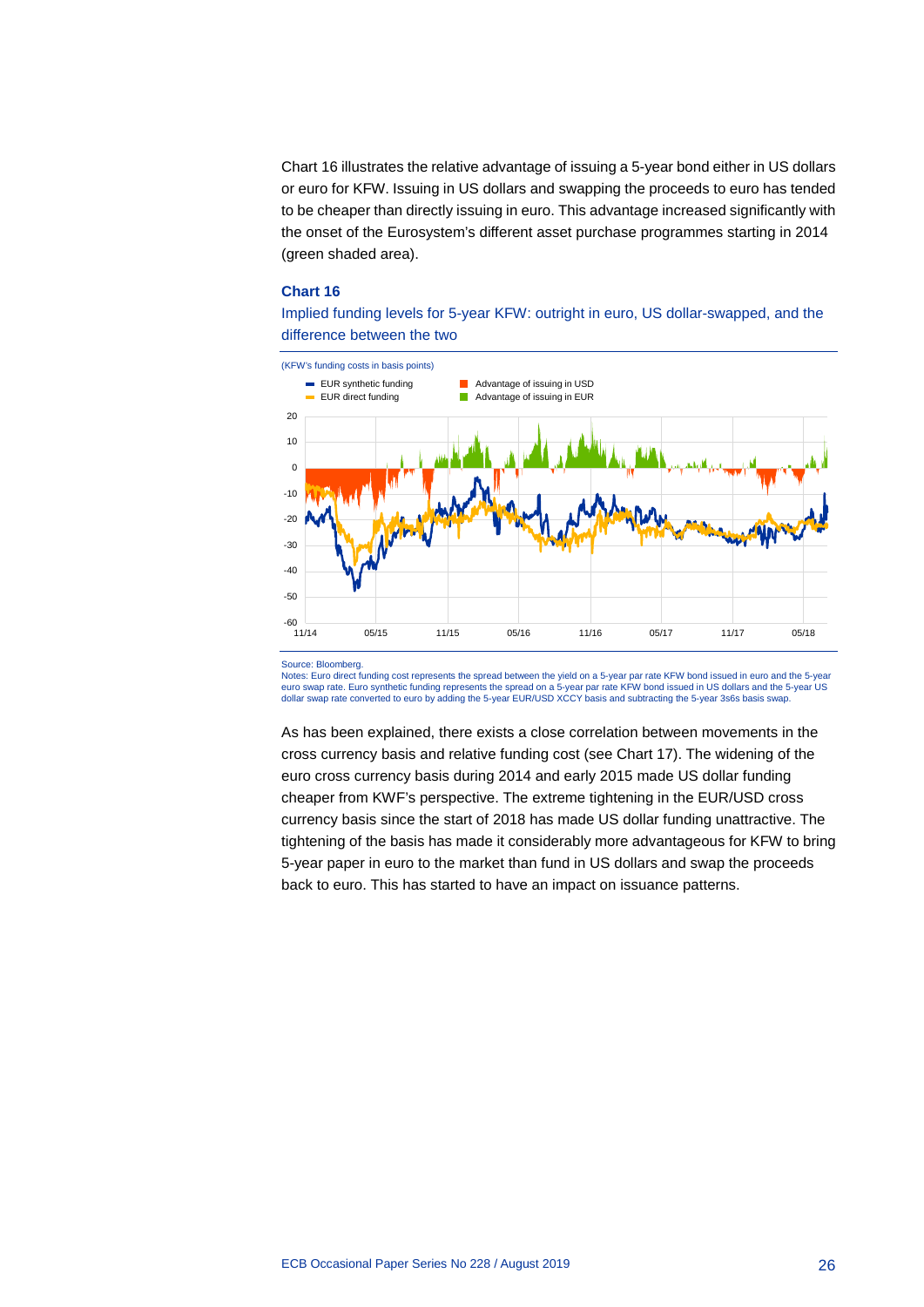Chart 16 illustrates the relative advantage of issuing a 5-year bond either in US dollars or euro for KFW. Issuing in US dollars and swapping the proceeds to euro has tended to be cheaper than directly issuing in euro. This advantage increased significantly with the onset of the Eurosystem's different asset purchase programmes starting in 2014 (green shaded area).

#### **Chart 16**

Implied funding levels for 5-year KFW: outright in euro, US dollar-swapped, and the difference between the two



#### Source: Bloomberg.

Notes: Euro direct funding cost represents the spread between the yield on a 5-year par rate KFW bond issued in euro and the 5-year euro swap rate. Euro synthetic funding represents the spread on a 5-year par rate KFW bond issued in US dollars and the 5-year US<br>dollar swap rate converted to euro by adding the 5-year EUR/USD XCCY basis and subtracting t

As has been explained, there exists a close correlation between movements in the cross currency basis and relative funding cost (see Chart 17). The widening of the euro cross currency basis during 2014 and early 2015 made US dollar funding cheaper from KWF's perspective. The extreme tightening in the EUR/USD cross currency basis since the start of 2018 has made US dollar funding unattractive. The tightening of the basis has made it considerably more advantageous for KFW to bring 5-year paper in euro to the market than fund in US dollars and swap the proceeds back to euro. This has started to have an impact on issuance patterns.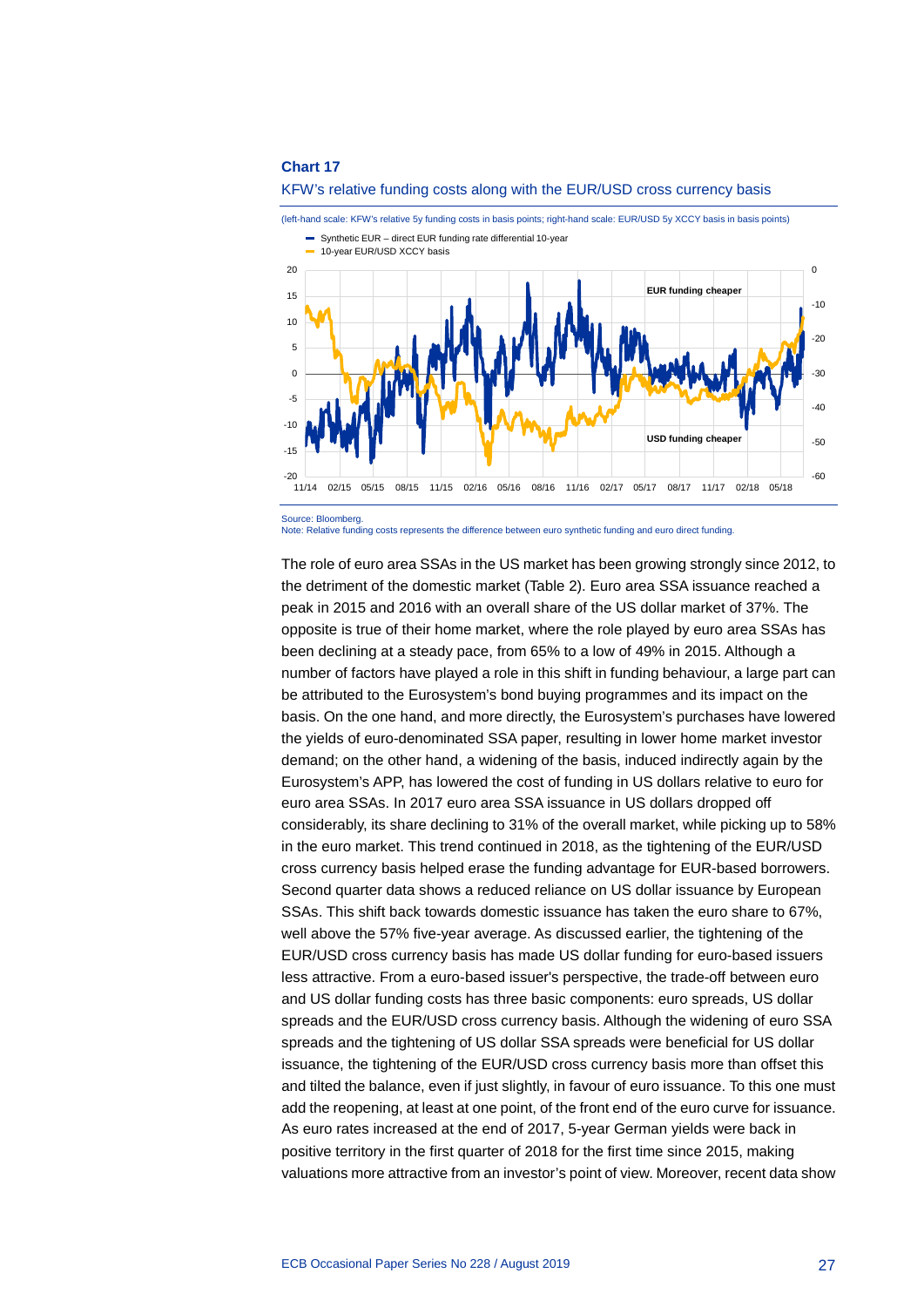



Note: Relative funding costs represents the difference between euro synthetic funding and euro direct funding.

The role of euro area SSAs in the US market has been growing strongly since 2012, to the detriment of the domestic market (Table 2). Euro area SSA issuance reached a peak in 2015 and 2016 with an overall share of the US dollar market of 37%. The opposite is true of their home market, where the role played by euro area SSAs has been declining at a steady pace, from 65% to a low of 49% in 2015. Although a number of factors have played a role in this shift in funding behaviour, a large part can be attributed to the Eurosystem's bond buying programmes and its impact on the basis. On the one hand, and more directly, the Eurosystem's purchases have lowered the yields of euro-denominated SSA paper, resulting in lower home market investor demand; on the other hand, a widening of the basis, induced indirectly again by the Eurosystem's APP, has lowered the cost of funding in US dollars relative to euro for euro area SSAs. In 2017 euro area SSA issuance in US dollars dropped off considerably, its share declining to 31% of the overall market, while picking up to 58% in the euro market. This trend continued in 2018, as the tightening of the EUR/USD cross currency basis helped erase the funding advantage for EUR-based borrowers. Second quarter data shows a reduced reliance on US dollar issuance by European SSAs. This shift back towards domestic issuance has taken the euro share to 67%, well above the 57% five-year average. As discussed earlier, the tightening of the EUR/USD cross currency basis has made US dollar funding for euro-based issuers less attractive. From a euro-based issuer's perspective, the trade-off between euro and US dollar funding costs has three basic components: euro spreads, US dollar spreads and the EUR/USD cross currency basis. Although the widening of euro SSA spreads and the tightening of US dollar SSA spreads were beneficial for US dollar issuance, the tightening of the EUR/USD cross currency basis more than offset this and tilted the balance, even if just slightly, in favour of euro issuance. To this one must add the reopening, at least at one point, of the front end of the euro curve for issuance. As euro rates increased at the end of 2017, 5-year German yields were back in positive territory in the first quarter of 2018 for the first time since 2015, making valuations more attractive from an investor's point of view. Moreover, recent data show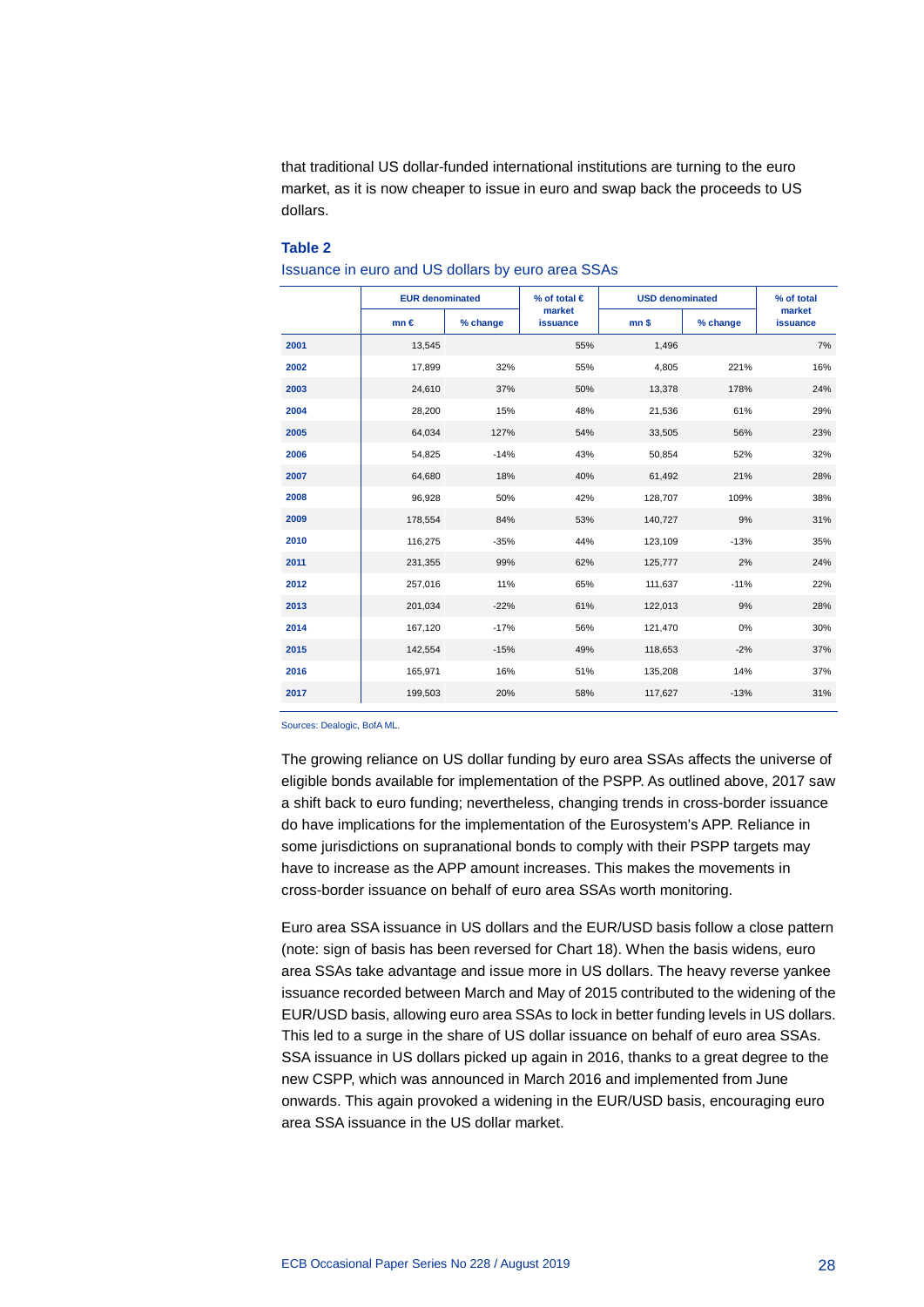that traditional US dollar-funded international institutions are turning to the euro market, as it is now cheaper to issue in euro and swap back the proceeds to US dollars.

#### **Table 2**

Issuance in euro and US dollars by euro area SSAs

|      | <b>EUR denominated</b> |          | % of total $\in$   | <b>USD denominated</b> |          | % of total         |
|------|------------------------|----------|--------------------|------------------------|----------|--------------------|
|      | $mn \in$               | % change | market<br>issuance | mn <sub>s</sub>        | % change | market<br>issuance |
| 2001 | 13,545                 |          | 55%                | 1,496                  |          | 7%                 |
| 2002 | 17,899                 | 32%      | 55%                | 4.805                  | 221%     | 16%                |
| 2003 | 24,610                 | 37%      | 50%                | 13,378                 | 178%     | 24%                |
| 2004 | 28,200                 | 15%      | 48%                | 21,536                 | 61%      | 29%                |
| 2005 | 64,034                 | 127%     | 54%                | 33,505                 | 56%      | 23%                |
| 2006 | 54,825                 | $-14%$   | 43%                | 50,854                 | 52%      | 32%                |
| 2007 | 64,680                 | 18%      | 40%                | 61,492                 | 21%      | 28%                |
| 2008 | 96,928                 | 50%      | 42%                | 128,707                | 109%     | 38%                |
| 2009 | 178,554                | 84%      | 53%                | 140,727                | 9%       | 31%                |
| 2010 | 116,275                | $-35%$   | 44%                | 123,109                | $-13%$   | 35%                |
| 2011 | 231,355                | 99%      | 62%                | 125,777                | 2%       | 24%                |
| 2012 | 257,016                | 11%      | 65%                | 111,637                | $-11%$   | 22%                |
| 2013 | 201,034                | $-22%$   | 61%                | 122,013                | 9%       | 28%                |
| 2014 | 167,120                | $-17%$   | 56%                | 121,470                | 0%       | 30%                |
| 2015 | 142,554                | $-15%$   | 49%                | 118,653                | $-2%$    | 37%                |
| 2016 | 165,971                | 16%      | 51%                | 135,208                | 14%      | 37%                |
| 2017 | 199,503                | 20%      | 58%                | 117,627                | $-13%$   | 31%                |

Sources: Dealogic, BofA ML.

The growing reliance on US dollar funding by euro area SSAs affects the universe of eligible bonds available for implementation of the PSPP. As outlined above, 2017 saw a shift back to euro funding; nevertheless, changing trends in cross-border issuance do have implications for the implementation of the Eurosystem's APP. Reliance in some jurisdictions on supranational bonds to comply with their PSPP targets may have to increase as the APP amount increases. This makes the movements in cross-border issuance on behalf of euro area SSAs worth monitoring.

Euro area SSA issuance in US dollars and the EUR/USD basis follow a close pattern (note: sign of basis has been reversed for Chart 18). When the basis widens, euro area SSAs take advantage and issue more in US dollars. The heavy reverse yankee issuance recorded between March and May of 2015 contributed to the widening of the EUR/USD basis, allowing euro area SSAs to lock in better funding levels in US dollars. This led to a surge in the share of US dollar issuance on behalf of euro area SSAs. SSA issuance in US dollars picked up again in 2016, thanks to a great degree to the new CSPP, which was announced in March 2016 and implemented from June onwards. This again provoked a widening in the EUR/USD basis, encouraging euro area SSA issuance in the US dollar market.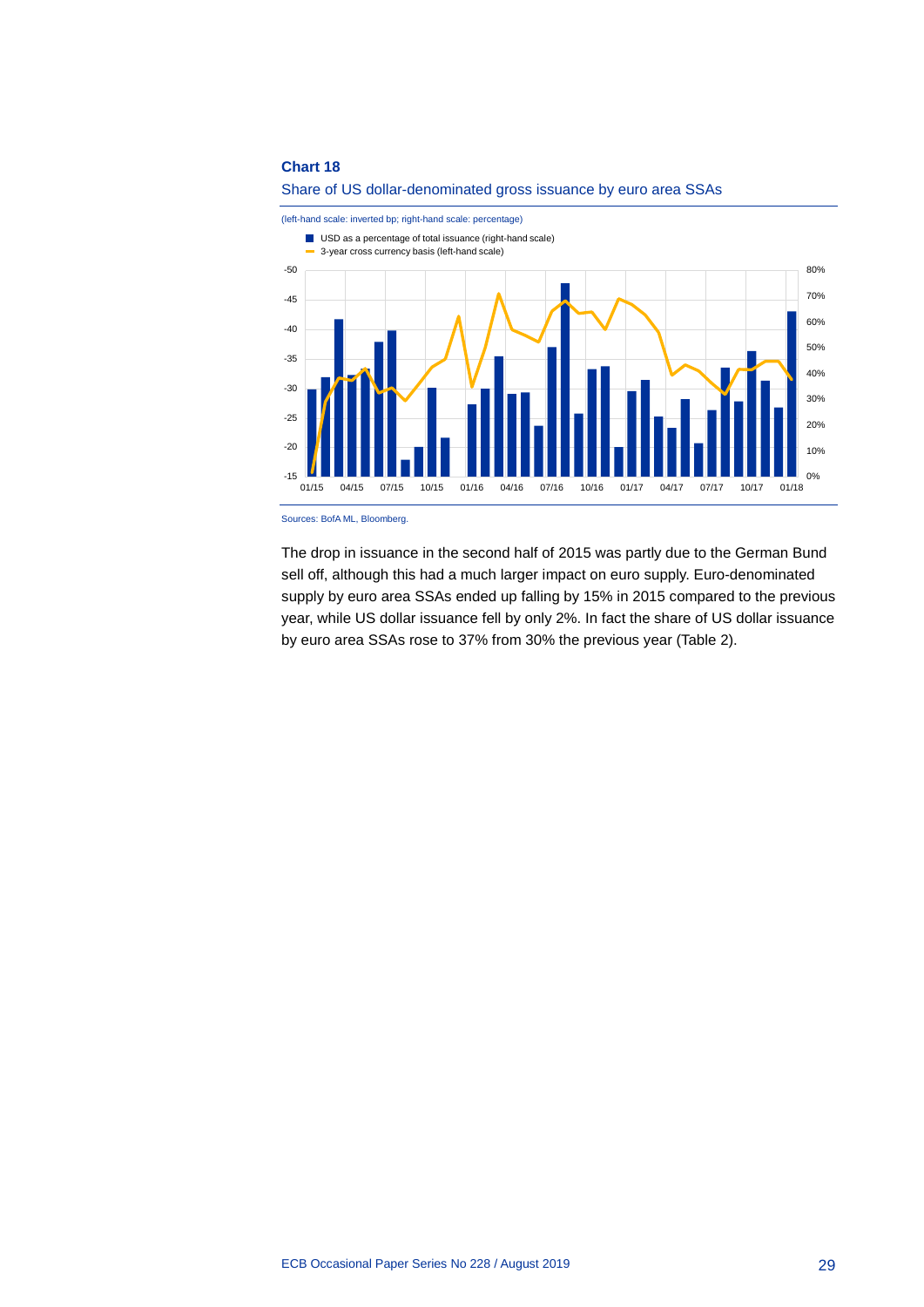



(left-hand scale: inverted bp; right-hand scale: percentage)

Sources: BofA ML, Bloomberg.

The drop in issuance in the second half of 2015 was partly due to the German Bund sell off, although this had a much larger impact on euro supply. Euro-denominated supply by euro area SSAs ended up falling by 15% in 2015 compared to the previous year, while US dollar issuance fell by only 2%. In fact the share of US dollar issuance by euro area SSAs rose to 37% from 30% the previous year (Table 2).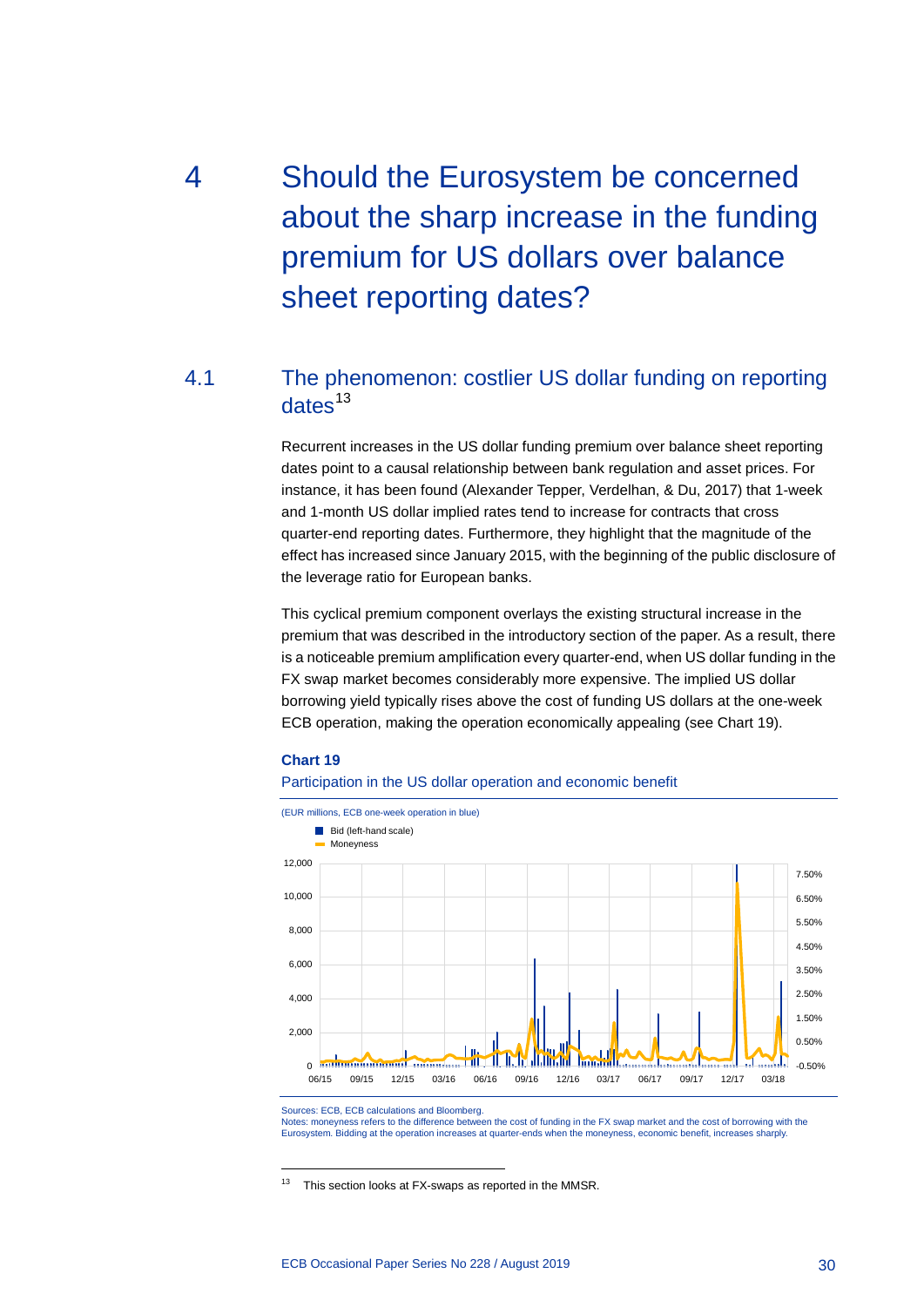# <span id="page-30-0"></span>4 Should the Eurosystem be concerned about the sharp increase in the funding premium for US dollars over balance sheet reporting dates?

## 4.1 The phenomenon: costlier US dollar funding on reporting  $dates<sup>13</sup>$  $dates<sup>13</sup>$  $dates<sup>13</sup>$

<span id="page-30-1"></span>Recurrent increases in the US dollar funding premium over balance sheet reporting dates point to a causal relationship between bank regulation and asset prices. For instance, it has been found (Alexander Tepper, Verdelhan, & Du, 2017) that 1-week and 1-month US dollar implied rates tend to increase for contracts that cross quarter-end reporting dates. Furthermore, they highlight that the magnitude of the effect has increased since January 2015, with the beginning of the public disclosure of the leverage ratio for European banks.

This cyclical premium component overlays the existing structural increase in the premium that was described in the introductory section of the paper. As a result, there is a noticeable premium amplification every quarter-end, when US dollar funding in the FX swap market becomes considerably more expensive. The implied US dollar borrowing yield typically rises above the cost of funding US dollars at the one-week ECB operation, making the operation economically appealing (see Chart 19).

#### **Chart 19**

-





Sources: ECB, ECB calculations and Bloomberg.

Notes: moneyness refers to the difference between the cost of funding in the FX swap market and the cost of borrowing with the Eurosystem. Bidding at the operation increases at quarter-ends when the moneyness, economic benefit, increases at quarter-ends when the moneyness, economic benefit, increases

<span id="page-30-2"></span><sup>13</sup> This section looks at FX-swaps as reported in the MMSR.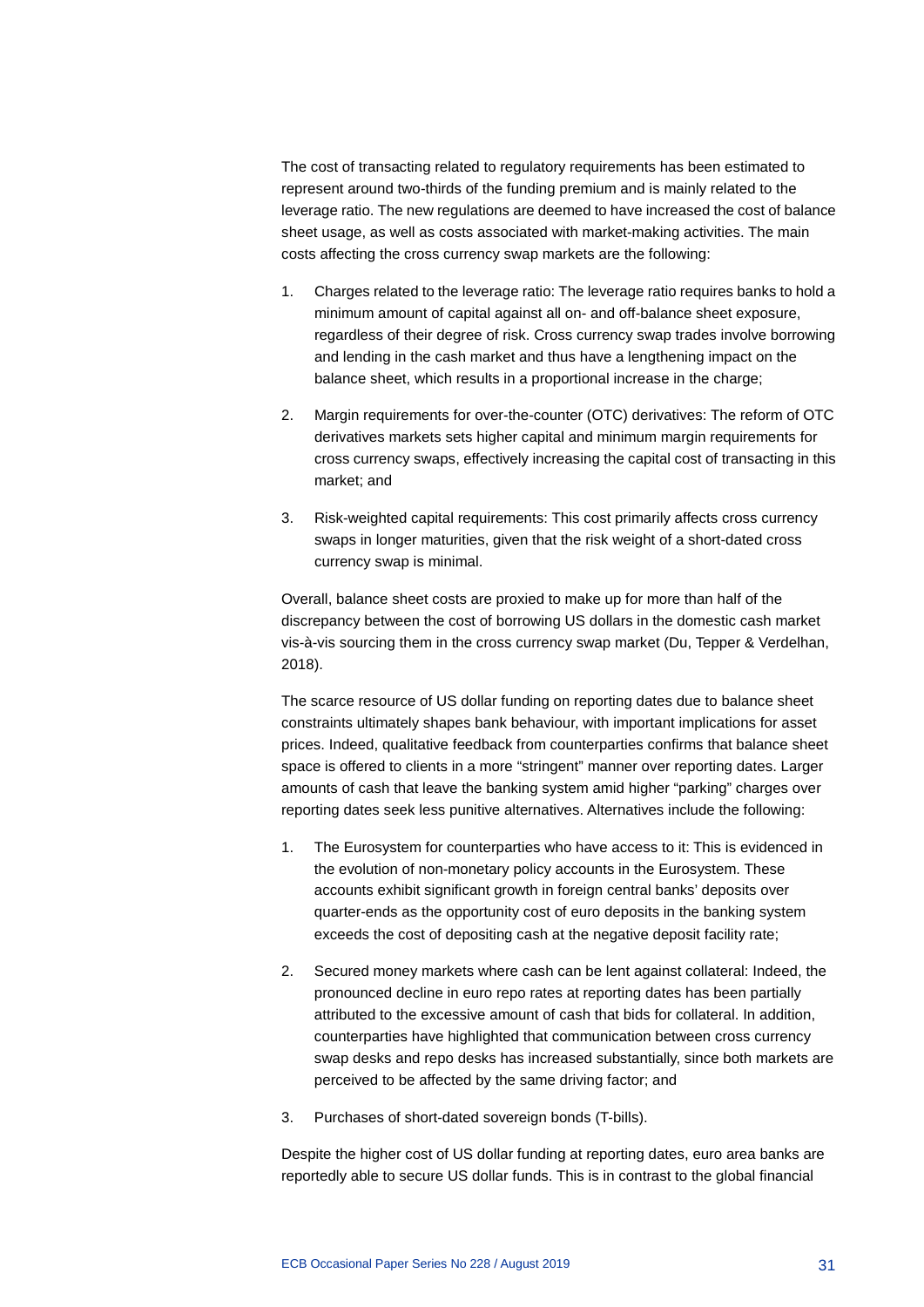The cost of transacting related to regulatory requirements has been estimated to represent around two-thirds of the funding premium and is mainly related to the leverage ratio. The new regulations are deemed to have increased the cost of balance sheet usage, as well as costs associated with market-making activities. The main costs affecting the cross currency swap markets are the following:

- 1. Charges related to the leverage ratio: The leverage ratio requires banks to hold a minimum amount of capital against all on- and off-balance sheet exposure, regardless of their degree of risk. Cross currency swap trades involve borrowing and lending in the cash market and thus have a lengthening impact on the balance sheet, which results in a proportional increase in the charge;
- 2. Margin requirements for over-the-counter (OTC) derivatives: The reform of OTC derivatives markets sets higher capital and minimum margin requirements for cross currency swaps, effectively increasing the capital cost of transacting in this market; and
- 3. Risk-weighted capital requirements: This cost primarily affects cross currency swaps in longer maturities, given that the risk weight of a short-dated cross currency swap is minimal.

Overall, balance sheet costs are proxied to make up for more than half of the discrepancy between the cost of borrowing US dollars in the domestic cash market vis-à-vis sourcing them in the cross currency swap market (Du, Tepper & Verdelhan, 2018).

The scarce resource of US dollar funding on reporting dates due to balance sheet constraints ultimately shapes bank behaviour, with important implications for asset prices. Indeed, qualitative feedback from counterparties confirms that balance sheet space is offered to clients in a more "stringent" manner over reporting dates. Larger amounts of cash that leave the banking system amid higher "parking" charges over reporting dates seek less punitive alternatives. Alternatives include the following:

- 1. The Eurosystem for counterparties who have access to it: This is evidenced in the evolution of non-monetary policy accounts in the Eurosystem. These accounts exhibit significant growth in foreign central banks' deposits over quarter-ends as the opportunity cost of euro deposits in the banking system exceeds the cost of depositing cash at the negative deposit facility rate;
- 2. Secured money markets where cash can be lent against collateral: Indeed, the pronounced decline in euro repo rates at reporting dates has been partially attributed to the excessive amount of cash that bids for collateral. In addition, counterparties have highlighted that communication between cross currency swap desks and repo desks has increased substantially, since both markets are perceived to be affected by the same driving factor; and
- 3. Purchases of short-dated sovereign bonds (T-bills).

Despite the higher cost of US dollar funding at reporting dates, euro area banks are reportedly able to secure US dollar funds. This is in contrast to the global financial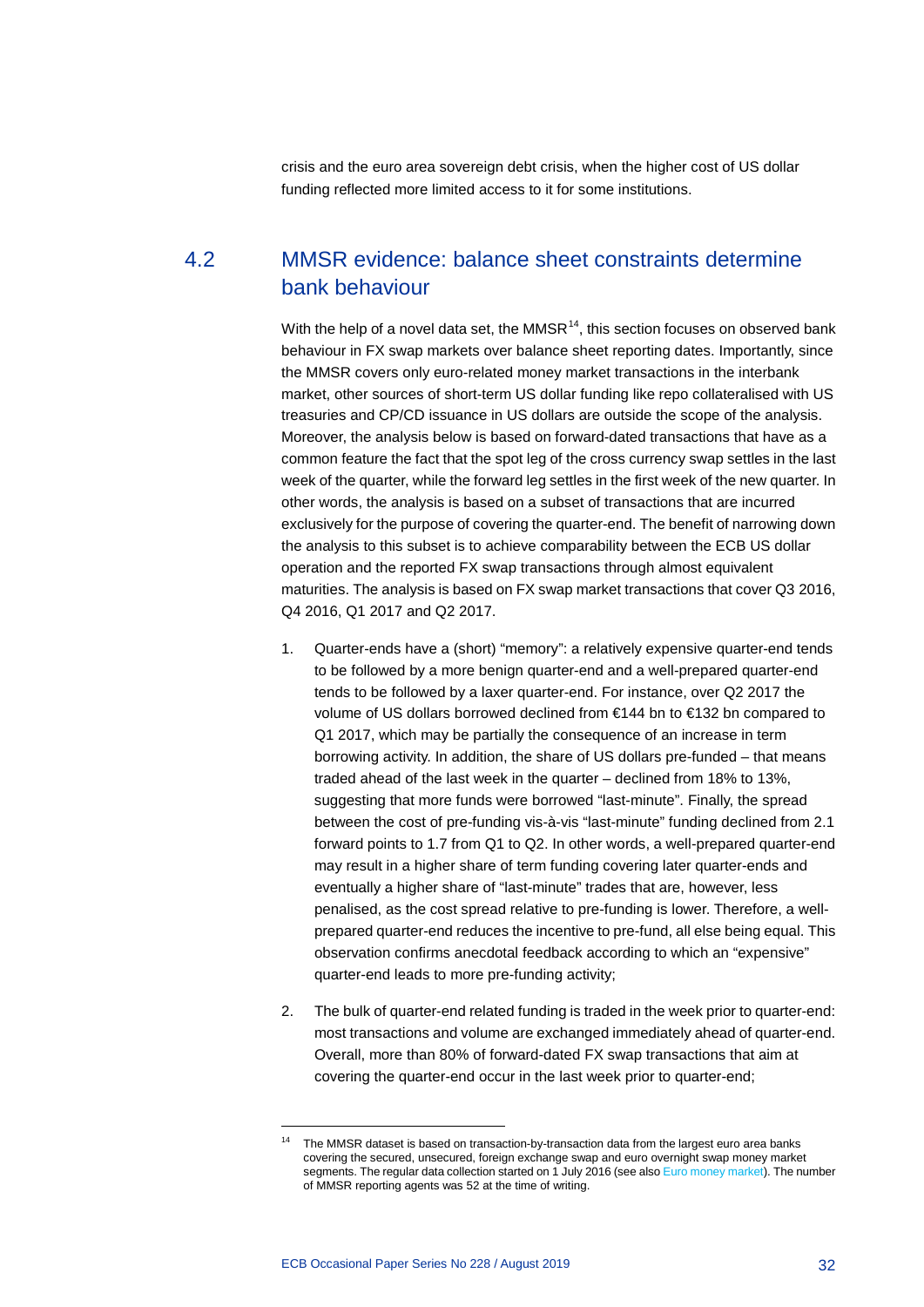<span id="page-32-0"></span>crisis and the euro area sovereign debt crisis, when the higher cost of US dollar funding reflected more limited access to it for some institutions.

## 4.2 MMSR evidence: balance sheet constraints determine bank behaviour

With the help of a novel data set, the MMSR $<sup>14</sup>$  $<sup>14</sup>$  $<sup>14</sup>$ , this section focuses on observed bank</sup> behaviour in FX swap markets over balance sheet reporting dates. Importantly, since the MMSR covers only euro-related money market transactions in the interbank market, other sources of short-term US dollar funding like repo collateralised with US treasuries and CP/CD issuance in US dollars are outside the scope of the analysis. Moreover, the analysis below is based on forward-dated transactions that have as a common feature the fact that the spot leg of the cross currency swap settles in the last week of the quarter, while the forward leg settles in the first week of the new quarter. In other words, the analysis is based on a subset of transactions that are incurred exclusively for the purpose of covering the quarter-end. The benefit of narrowing down the analysis to this subset is to achieve comparability between the ECB US dollar operation and the reported FX swap transactions through almost equivalent maturities. The analysis is based on FX swap market transactions that cover Q3 2016, Q4 2016, Q1 2017 and Q2 2017.

- 1. Quarter-ends have a (short) "memory": a relatively expensive quarter-end tends to be followed by a more benign quarter-end and a well-prepared quarter-end tends to be followed by a laxer quarter-end. For instance, over Q2 2017 the volume of US dollars borrowed declined from €144 bn to €132 bn compared to Q1 2017, which may be partially the consequence of an increase in term borrowing activity. In addition, the share of US dollars pre-funded – that means traded ahead of the last week in the quarter – declined from 18% to 13%, suggesting that more funds were borrowed "last-minute". Finally, the spread between the cost of pre-funding vis-à-vis "last-minute" funding declined from 2.1 forward points to 1.7 from Q1 to Q2. In other words, a well-prepared quarter-end may result in a higher share of term funding covering later quarter-ends and eventually a higher share of "last-minute" trades that are, however, less penalised, as the cost spread relative to pre-funding is lower. Therefore, a wellprepared quarter-end reduces the incentive to pre-fund, all else being equal. This observation confirms anecdotal feedback according to which an "expensive" quarter-end leads to more pre-funding activity;
- 2. The bulk of quarter-end related funding is traded in the week prior to quarter-end: most transactions and volume are exchanged immediately ahead of quarter-end. Overall, more than 80% of forward-dated FX swap transactions that aim at covering the quarter-end occur in the last week prior to quarter-end;

<span id="page-32-1"></span><sup>14</sup> The MMSR dataset is based on transaction-by-transaction data from the largest euro area banks covering the secured, unsecured, foreign exchange swap and euro overnight swap money market segments. The regular data collection started on 1 July 2016 (see als[o Euro money market\)](https://www.ecb.europa.eu/stats/financial_markets_and_interest_rates/money_market/html/index.en.html). The number of MMSR reporting agents was 52 at the time of writing.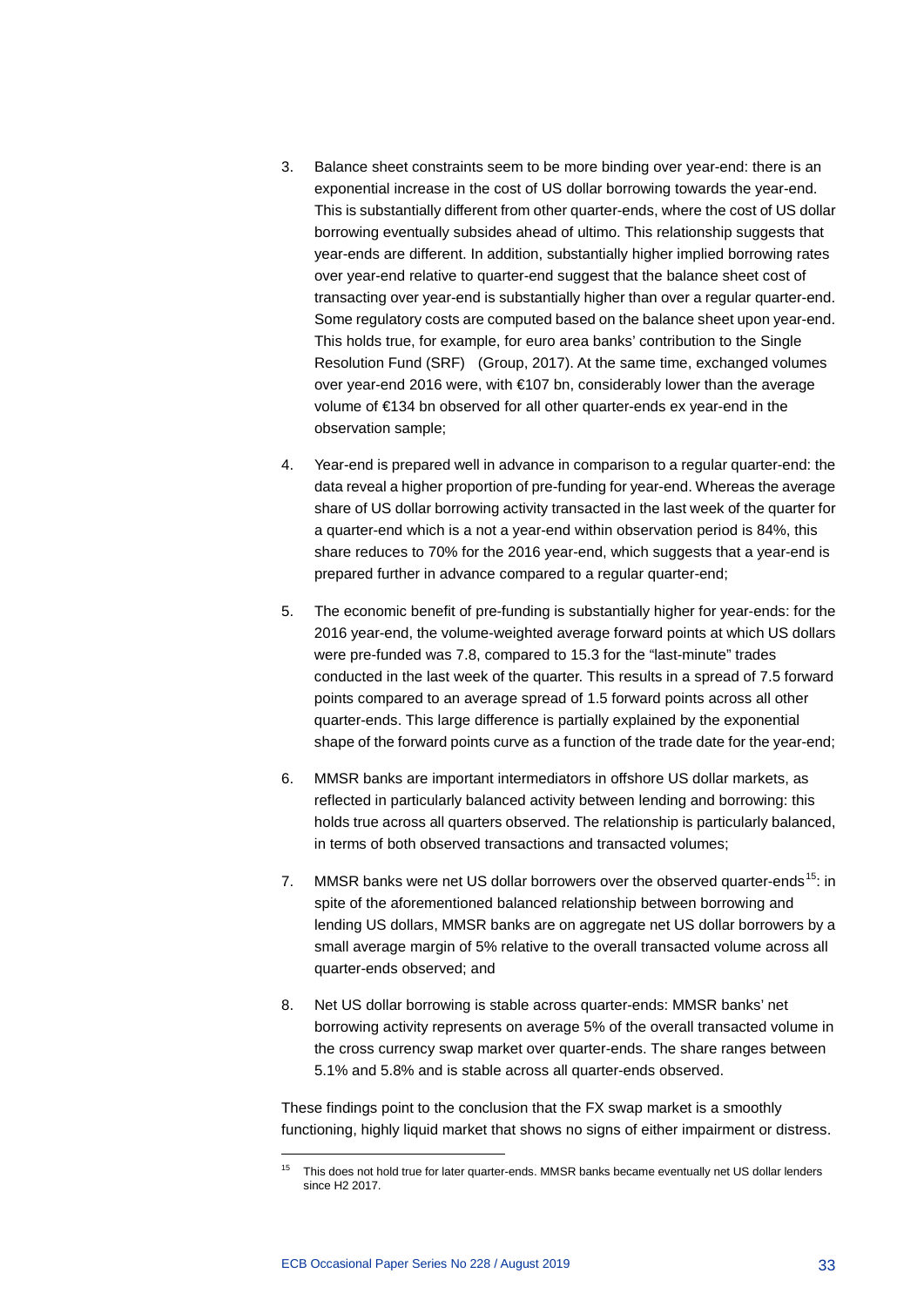- 3. Balance sheet constraints seem to be more binding over year-end: there is an exponential increase in the cost of US dollar borrowing towards the year-end. This is substantially different from other quarter-ends, where the cost of US dollar borrowing eventually subsides ahead of ultimo. This relationship suggests that year-ends are different. In addition, substantially higher implied borrowing rates over year-end relative to quarter-end suggest that the balance sheet cost of transacting over year-end is substantially higher than over a regular quarter-end. Some regulatory costs are computed based on the balance sheet upon year-end. This holds true, for example, for euro area banks' contribution to the Single Resolution Fund (SRF) (Group, 2017). At the same time, exchanged volumes over year-end 2016 were, with €107 bn, considerably lower than the average volume of €134 bn observed for all other quarter-ends ex year-end in the observation sample;
- 4. Year-end is prepared well in advance in comparison to a regular quarter-end: the data reveal a higher proportion of pre-funding for year-end. Whereas the average share of US dollar borrowing activity transacted in the last week of the quarter for a quarter-end which is a not a year-end within observation period is 84%, this share reduces to 70% for the 2016 year-end, which suggests that a year-end is prepared further in advance compared to a regular quarter-end;
- 5. The economic benefit of pre-funding is substantially higher for year-ends: for the 2016 year-end, the volume-weighted average forward points at which US dollars were pre-funded was 7.8, compared to 15.3 for the "last-minute" trades conducted in the last week of the quarter. This results in a spread of 7.5 forward points compared to an average spread of 1.5 forward points across all other quarter-ends. This large difference is partially explained by the exponential shape of the forward points curve as a function of the trade date for the year-end;
- 6. MMSR banks are important intermediators in offshore US dollar markets, as reflected in particularly balanced activity between lending and borrowing: this holds true across all quarters observed. The relationship is particularly balanced, in terms of both observed transactions and transacted volumes;
- 7. MMSR banks were net US dollar borrowers over the observed quarter-ends<sup>[15](#page-33-0)</sup>: in spite of the aforementioned balanced relationship between borrowing and lending US dollars, MMSR banks are on aggregate net US dollar borrowers by a small average margin of 5% relative to the overall transacted volume across all quarter-ends observed; and
- 8. Net US dollar borrowing is stable across quarter-ends: MMSR banks' net borrowing activity represents on average 5% of the overall transacted volume in the cross currency swap market over quarter-ends. The share ranges between 5.1% and 5.8% and is stable across all quarter-ends observed.

These findings point to the conclusion that the FX swap market is a smoothly functioning, highly liquid market that shows no signs of either impairment or distress.

<span id="page-33-0"></span>This does not hold true for later quarter-ends. MMSR banks became eventually net US dollar lenders since H2 2017.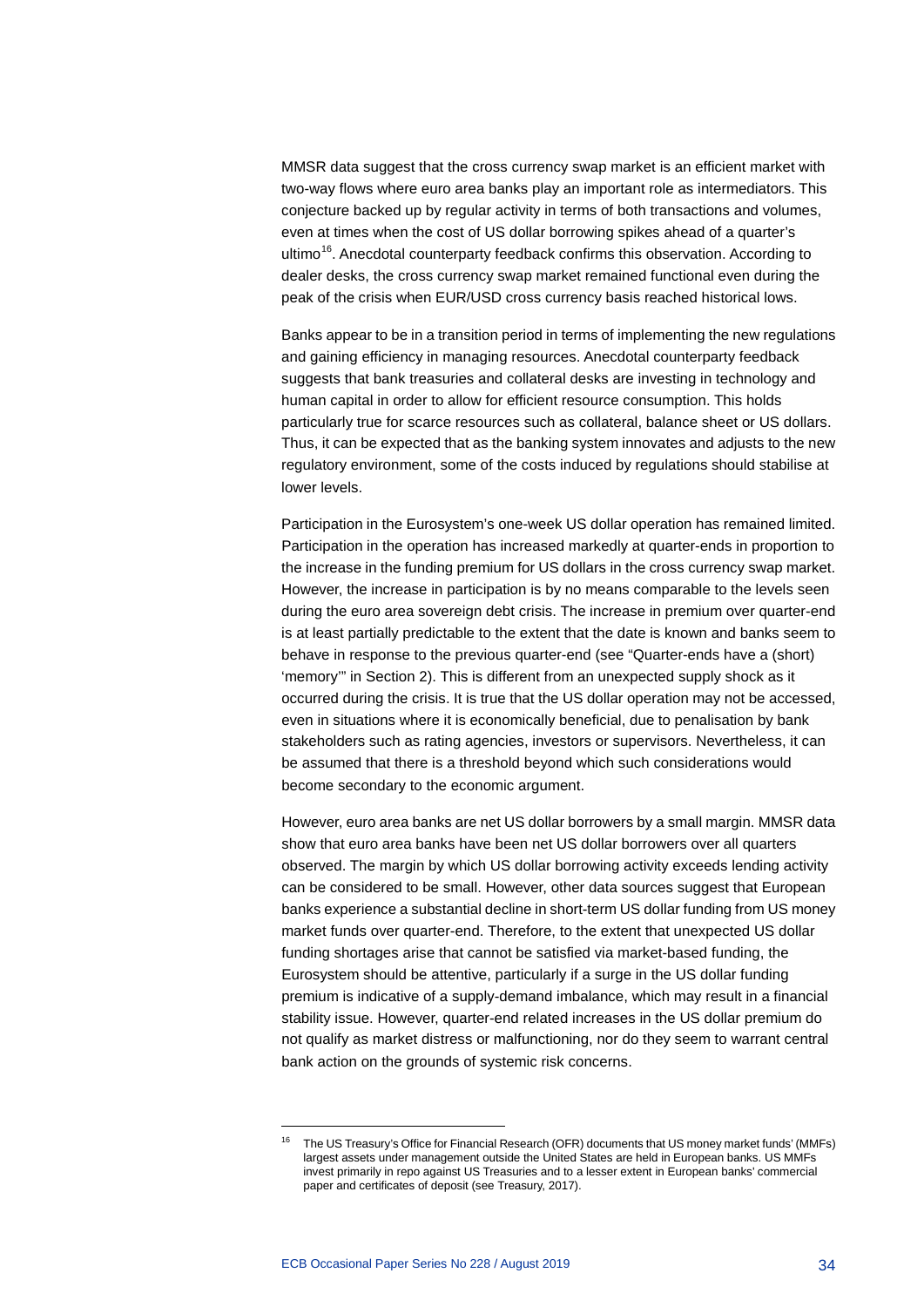MMSR data suggest that the cross currency swap market is an efficient market with two-way flows where euro area banks play an important role as intermediators. This conjecture backed up by regular activity in terms of both transactions and volumes, even at times when the cost of US dollar borrowing spikes ahead of a quarter's ultimo<sup>16</sup>. Anecdotal counterparty feedback confirms this observation. According to dealer desks, the cross currency swap market remained functional even during the peak of the crisis when EUR/USD cross currency basis reached historical lows.

Banks appear to be in a transition period in terms of implementing the new regulations and gaining efficiency in managing resources. Anecdotal counterparty feedback suggests that bank treasuries and collateral desks are investing in technology and human capital in order to allow for efficient resource consumption. This holds particularly true for scarce resources such as collateral, balance sheet or US dollars. Thus, it can be expected that as the banking system innovates and adjusts to the new regulatory environment, some of the costs induced by regulations should stabilise at lower levels.

Participation in the Eurosystem's one-week US dollar operation has remained limited. Participation in the operation has increased markedly at quarter-ends in proportion to the increase in the funding premium for US dollars in the cross currency swap market. However, the increase in participation is by no means comparable to the levels seen during the euro area sovereign debt crisis. The increase in premium over quarter-end is at least partially predictable to the extent that the date is known and banks seem to behave in response to the previous quarter-end (see "Quarter-ends have a (short) 'memory'" in Section 2). This is different from an unexpected supply shock as it occurred during the crisis. It is true that the US dollar operation may not be accessed, even in situations where it is economically beneficial, due to penalisation by bank stakeholders such as rating agencies, investors or supervisors. Nevertheless, it can be assumed that there is a threshold beyond which such considerations would become secondary to the economic argument.

However, euro area banks are net US dollar borrowers by a small margin. MMSR data show that euro area banks have been net US dollar borrowers over all quarters observed. The margin by which US dollar borrowing activity exceeds lending activity can be considered to be small. However, other data sources suggest that European banks experience a substantial decline in short-term US dollar funding from US money market funds over quarter-end. Therefore, to the extent that unexpected US dollar funding shortages arise that cannot be satisfied via market-based funding, the Eurosystem should be attentive, particularly if a surge in the US dollar funding premium is indicative of a supply-demand imbalance, which may result in a financial stability issue. However, quarter-end related increases in the US dollar premium do not qualify as market distress or malfunctioning, nor do they seem to warrant central bank action on the grounds of systemic risk concerns.

<span id="page-34-0"></span><sup>16</sup> The US Treasury's Office for Financial Research (OFR) documents that US money market funds' (MMFs) largest assets under management outside the United States are held in European banks. US MMFs invest primarily in repo against US Treasuries and to a lesser extent in European banks' commercial paper and certificates of deposit (see Treasury, 2017).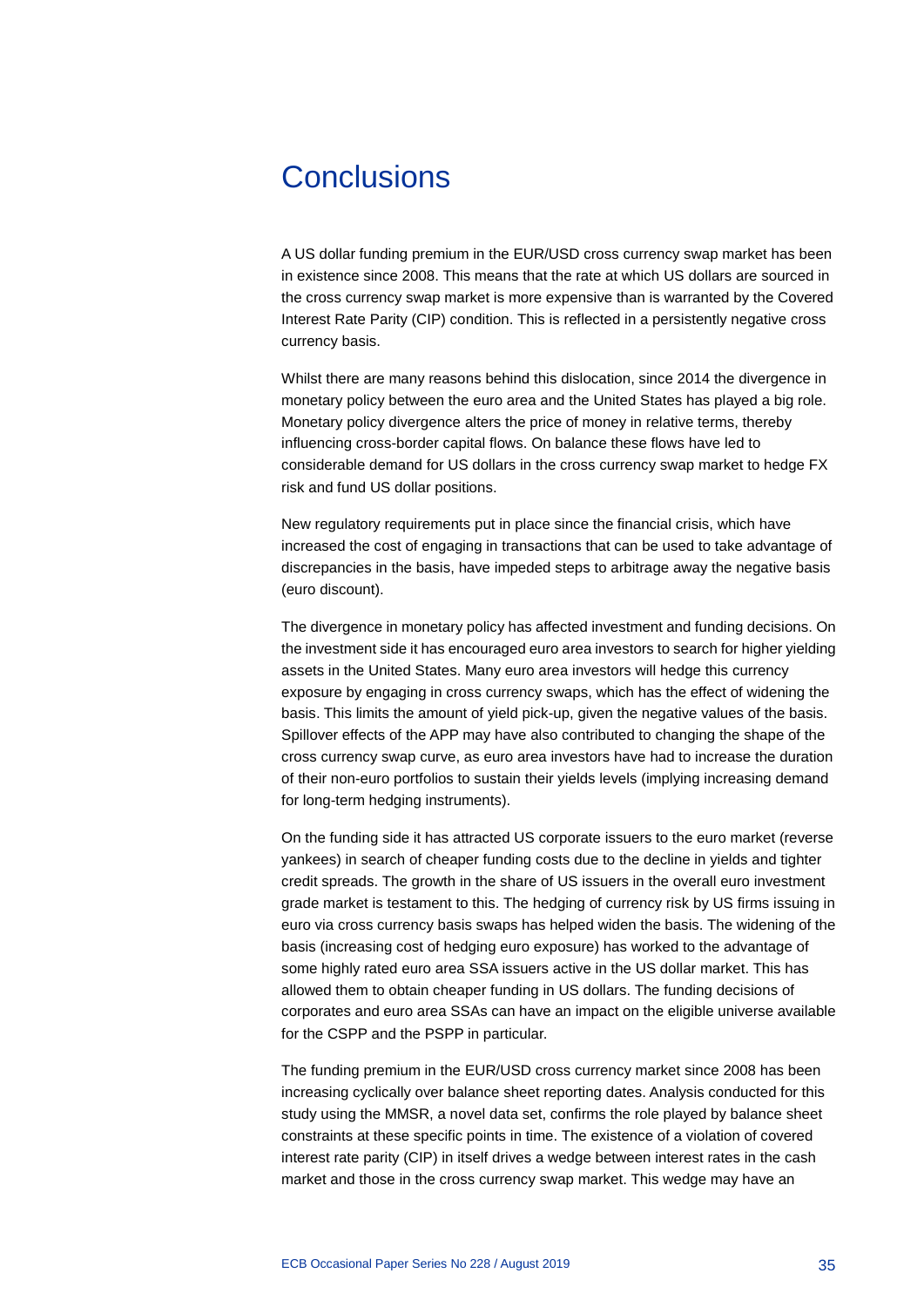# <span id="page-35-0"></span>**Conclusions**

A US dollar funding premium in the EUR/USD cross currency swap market has been in existence since 2008. This means that the rate at which US dollars are sourced in the cross currency swap market is more expensive than is warranted by the Covered Interest Rate Parity (CIP) condition. This is reflected in a persistently negative cross currency basis.

Whilst there are many reasons behind this dislocation, since 2014 the divergence in monetary policy between the euro area and the United States has played a big role. Monetary policy divergence alters the price of money in relative terms, thereby influencing cross-border capital flows. On balance these flows have led to considerable demand for US dollars in the cross currency swap market to hedge FX risk and fund US dollar positions.

New regulatory requirements put in place since the financial crisis, which have increased the cost of engaging in transactions that can be used to take advantage of discrepancies in the basis, have impeded steps to arbitrage away the negative basis (euro discount).

The divergence in monetary policy has affected investment and funding decisions. On the investment side it has encouraged euro area investors to search for higher yielding assets in the United States. Many euro area investors will hedge this currency exposure by engaging in cross currency swaps, which has the effect of widening the basis. This limits the amount of yield pick-up, given the negative values of the basis. Spillover effects of the APP may have also contributed to changing the shape of the cross currency swap curve, as euro area investors have had to increase the duration of their non-euro portfolios to sustain their yields levels (implying increasing demand for long-term hedging instruments).

On the funding side it has attracted US corporate issuers to the euro market (reverse yankees) in search of cheaper funding costs due to the decline in yields and tighter credit spreads. The growth in the share of US issuers in the overall euro investment grade market is testament to this. The hedging of currency risk by US firms issuing in euro via cross currency basis swaps has helped widen the basis. The widening of the basis (increasing cost of hedging euro exposure) has worked to the advantage of some highly rated euro area SSA issuers active in the US dollar market. This has allowed them to obtain cheaper funding in US dollars. The funding decisions of corporates and euro area SSAs can have an impact on the eligible universe available for the CSPP and the PSPP in particular.

The funding premium in the EUR/USD cross currency market since 2008 has been increasing cyclically over balance sheet reporting dates. Analysis conducted for this study using the MMSR, a novel data set, confirms the role played by balance sheet constraints at these specific points in time. The existence of a violation of covered interest rate parity (CIP) in itself drives a wedge between interest rates in the cash market and those in the cross currency swap market. This wedge may have an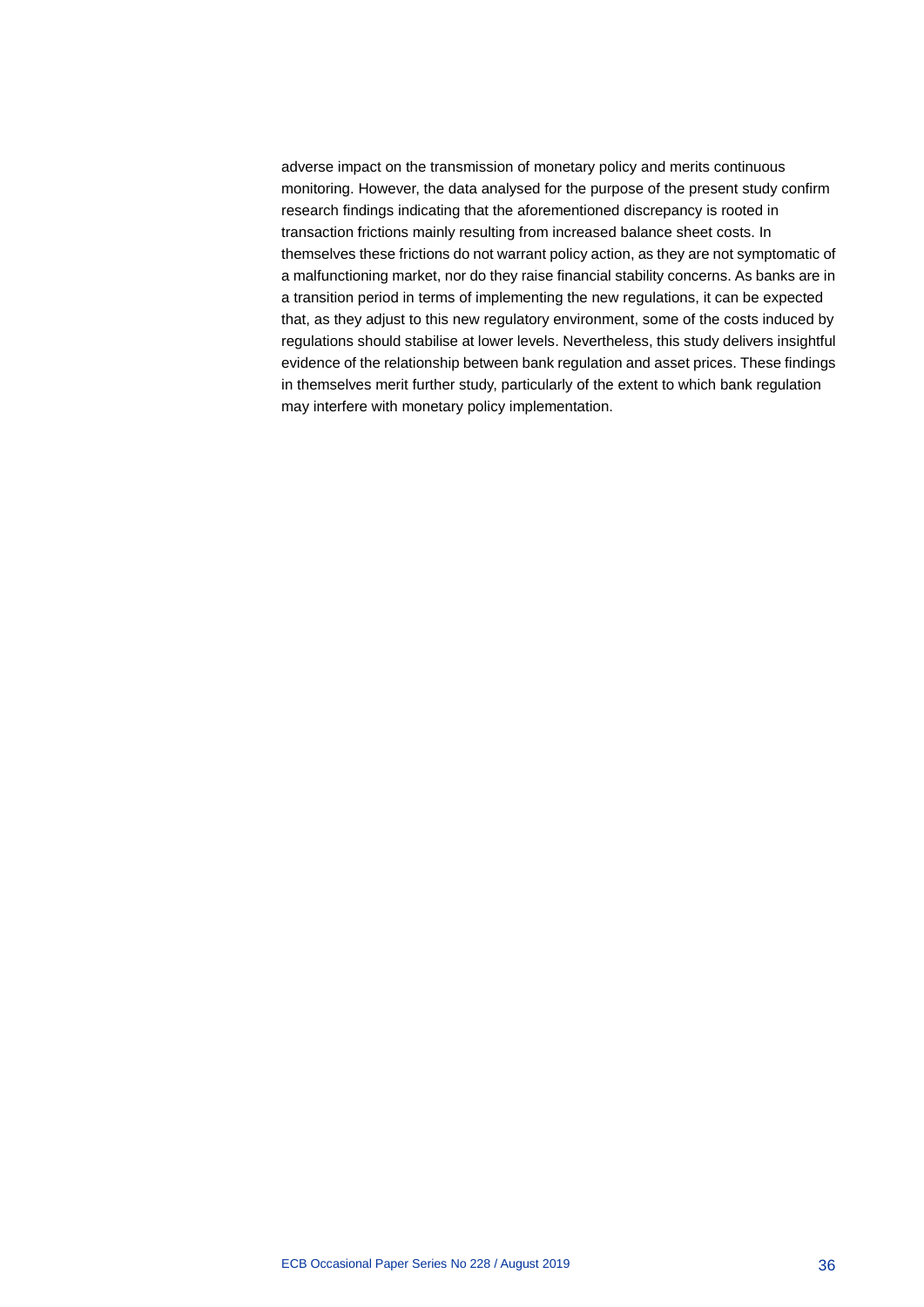adverse impact on the transmission of monetary policy and merits continuous monitoring. However, the data analysed for the purpose of the present study confirm research findings indicating that the aforementioned discrepancy is rooted in transaction frictions mainly resulting from increased balance sheet costs. In themselves these frictions do not warrant policy action, as they are not symptomatic of a malfunctioning market, nor do they raise financial stability concerns. As banks are in a transition period in terms of implementing the new regulations, it can be expected that, as they adjust to this new regulatory environment, some of the costs induced by regulations should stabilise at lower levels. Nevertheless, this study delivers insightful evidence of the relationship between bank regulation and asset prices. These findings in themselves merit further study, particularly of the extent to which bank regulation may interfere with monetary policy implementation.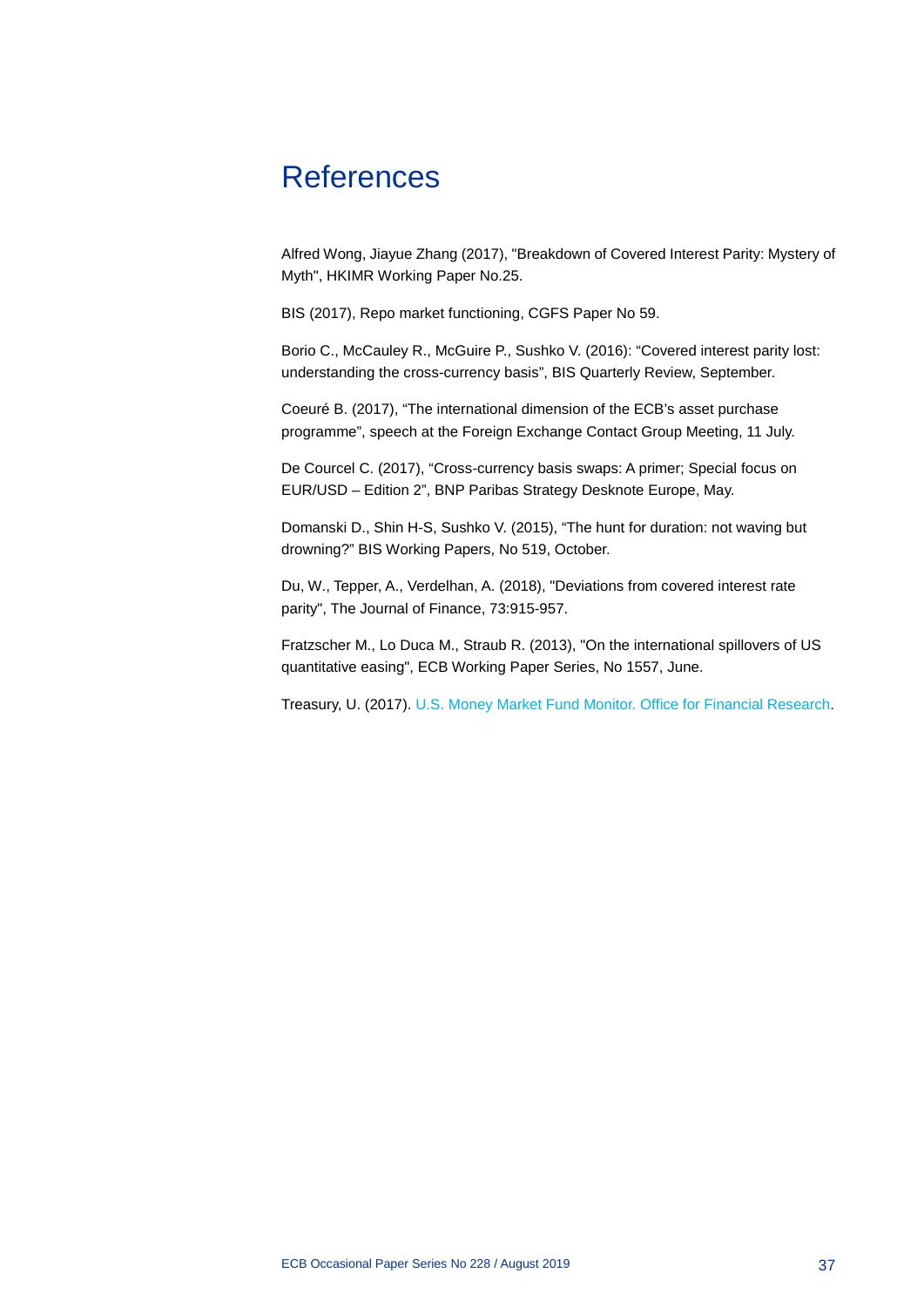# <span id="page-37-0"></span>**References**

Alfred Wong, Jiayue Zhang (2017), "Breakdown of Covered Interest Parity: Mystery of Myth", HKIMR Working Paper No.25.

BIS (2017), Repo market functioning, CGFS Paper No 59.

Borio C., McCauley R., McGuire P., Sushko V. (2016): "Covered interest parity lost: understanding the cross-currency basis", BIS Quarterly Review, September.

Coeuré B. (2017), "The international dimension of the ECB's asset purchase programme", speech at the Foreign Exchange Contact Group Meeting, 11 July.

De Courcel C. (2017), "Cross-currency basis swaps: A primer; Special focus on EUR/USD – Edition 2", BNP Paribas Strategy Desknote Europe, May.

Domanski D., Shin H-S, Sushko V. (2015), "The hunt for duration: not waving but drowning?" BIS Working Papers, No 519, October.

Du, W., Tepper, A., Verdelhan, A. (2018), "Deviations from covered interest rate parity", The Journal of Finance, 73:915-957.

Fratzscher M., Lo Duca M., Straub R. (2013), "On the international spillovers of US quantitative easing", ECB Working Paper Series, No 1557, June.

Treasury, U. (2017). [U.S. Money Market Fund Monitor. Office for Financial Research.](https://www.financialresearch.gov/money-market-funds/us-mmfs-investments-by-fund-category)